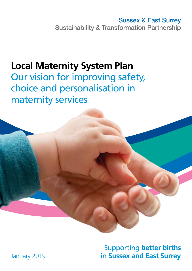Sussex & East Surrey Sustainability & Transformation Partnership

# **Local Maternity System Plan**

Our vision for improving safety, choice and personalisation in maternity services

> Supporting **better births** in **Sussex and East Surrey**

January 2019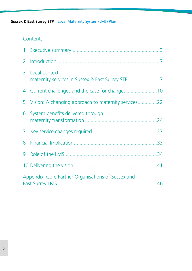# **Contents**

| 2 <sup>1</sup> |                                                       |
|----------------|-------------------------------------------------------|
| 3              | Local context:                                        |
|                |                                                       |
|                | 5 Vision: A changing approach to maternity services22 |
| 6              | System benefits delivered through                     |
|                |                                                       |
|                |                                                       |
|                |                                                       |
|                |                                                       |
|                | Appendix: Core Partner Organisations of Sussex and    |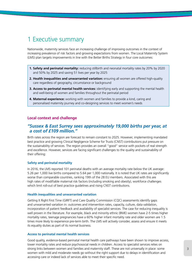# 1 Executive summary

Nationwide, maternity services face an increasing challenge of improving outcomes in the context of increasing prevalence of risk factors and growing expectations from women. The Local Maternity System (LMS) plan targets improvements in line with the Better Births Strategy in four core outcomes:

- **1. Safety and perinatal mortality:** reducing stillbirth and neonatal mortality rates by 20% by 2020 and 50% by 2025 and saving 51 lives per year by 2025
- **2. Health inequalities and unwarranted variation:** ensuring all women are offered high-quality care regardless of geography, circumstance or background
- **3. Access to perinatal mental health services:** identifying early and supporting the mental health and well-being of women and families throughout the perinatal period
- **4. Maternal experience:** working with women and families to provide a kind, caring and personalised maternity journey and co-designing services to meet women's needs

# **Local context and challenge**

# *"Sussex & East Surrey sees approximately 19,000 births per year, at a cost of £109 million."*

Birth rates across the region are forecast to remain constant to 2025. However, implementing mandated best practice and growing Clinical Negligence Scheme for Trusts (CNST) contributions put pressure on the sustainability of services. The region provides an overall "good" service with pockets of real strength and excellence. However, services are facing significant challenges to the quality and sustainability of their offering:

#### **Safety and perinatal mortality**

In 2016, the LMS reported 101 perinatal deaths with an average mortality rate below the UK average: 5.26 per 1,000 live births compared to 5.64 per 1,000 nationally. It is noted that UK rates are significantly worse than comparable countries, ranking 19th of the 28 EU members. Associated with this are high rates of modifiable maternal risk factors (including smoking and obesity), workforce challenges which limit roll-out of best practice guidelines and rising CNST contributions.

#### **Health inequalities and unwarranted variation**

Getting It Right First Time (GIRFT) and Care Quality Commission (CQC) assessments identify gaps and unwarranted variation in: outcomes and intervention rates, capacity, culture, data validation, incorporation of patient feedback and availability of specialist services. The case for reducing inequality is well proven in the literature. For example, black and minority ethnic (BME) women have 2-5 times higher mortality rates, teenage pregnancies have a 60% higher infant mortality rate and older women are 1.5 times more likely to experience pre-term birth. The LMS will actively consider, assess and ensure it meets its equality duties as part of its normal business.

#### **Access to perinatal mental health services**

Good quality, evidence-based perinatal mental health care pathways have been shown to improve access, lower mortality rates and reduce psychosocial needs in children. Access to specialist services relies on strong links between women and families and maternity staff. These are not universally in place: some women with mild and moderate needs go without the right support due to delays in identification and accessing care or indeed lack of services able to meet their specific need.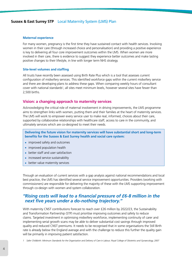#### **Maternal experience**

For many women, pregnancy is the first time they have sustained contact with health services. Involving women in their care (through increased choice and personalisation) and providing a positive experience is key to delivering all four core improvement outcomes within the LMS. When women are more involved in their care, there is evidence to suggest they experience better outcomes and make lasting positive changes to their lifestyle, in line with longer term NHS strategy.

### **Site-level volumes and staffing**

All trusts have recently been assessed using Birth Rate Plus which is a tool that assesses current configuration of midwifery services. This identified workforce gaps within the current midwifery service and there are developing plans to address these gaps. When comparing weekly hours of consultant cover with national standards<sup>1</sup>, all sites meet minimum levels, however several sites have fewer than 2,500 births.

# **Vision: a changing approach to maternity services**

Acknowledging the critical role of maternal involvement in driving improvements, the LMS programme aims to strengthen links with women, putting them and their families at the heart of maternity services. The LMS will work to empower every service user to make real, informed, choices about their care, supported by collaborative relationships with healthcare staff, access to care in the community, and ultimately services which are co-designed to meet their needs.

**Delivering the future vision for maternity services will have substantial short and long-term benefits for the Sussex & East Surrey health and social care system:**

- **•** improved safety and outcomes
- **•** improved population health
- **•** better staff and user satisfaction
- **•** increased service sustainability
- **•** better value maternity services

Through an evaluation of current services with a gap analysis against national recommendations and local best practice, the LMS has identified several service improvement opportunities. Providers (working with commissioners) are responsible for delivering the majority of these with the LMS supporting improvement through co-design with women and system collaboration.

# *"Rising costs will lead to a financial pressure of £6-8 million in the next five years under a do-nothing trajectory."*

With maternity CNST contributions forecast to reach over £26 million by 2022/23, the Sustainability and Transformation Partnership (STP) must prioritise improving outcomes and safety to reduce claims. Targeted investment in optimising midwifery workforce, implementing continuity of carer and implementing serial growth scans may be able to deliver substantial cost savings through improved quality and reduced CNST premiums. It needs to be recognised that in some organisations the Still Birth rate is already below the England average and with the challenge to reduce this further the quality gain will be primarily in improving patient satisfaction.

*1 Safer Childbirth: Minimum Standards for the Organisation and Delivery of Care in Labour; Royal College of Obstetrics and Gynaecology, 2007*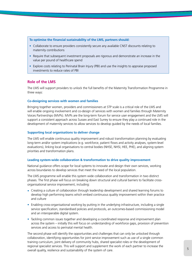**To optimise the financial sustainability of the LMS, partners should:**

- **•** Collaborate to ensure providers consistently secure any available CNST discounts relating to maternity contributions
- **•** Require that subsequent investment proposals are rigorous and demonstrate an increase in the value per pound of healthcare spend
- **•** Explore costs relating to Perinatal Brain Injury (PBI) and use the insights to appraise proposed investments to reduce rates of PBI

# **Role of the LMS**

The LMS will support providers to unlock the full benefits of the Maternity Transformation Programme in three ways:

### **Co-designing services with women and families**

Bringing together women, providers and commissioners at STP scale is a critical role of the LMS and will enable ongoing involvement and co-design of services with women and families through Maternity Voices Partnerships (MVPs). MVPs are the long-term forum for service user engagement and the LMS will support a consistent approach across Sussex and East Surrey to ensure they play a continued role in the development of maternity services to allow services to develop guided by the needs of local families.

### **Supporting local organisations to deliver change**

The LMS will enable continuous quality improvement and robust transformation planning by evaluating long-term and/or system implications (e.g. workforce, patient flows and activity analyses, system-level evaluations), linking local organisations to central bodies (NHSE, NHSI, HEE, PHE), and aligning system priorities and transformation plans.

#### **Leading system-wide collaboration & transformation to drive quality improvement**

National guidance offers scope for local systems to innovate and design their own services, working across boundaries to develop services that meet the need of the local population.

The LMS programme will enable this system wide collaboration and transformation in two distinct phases. The first phase will focus on breaking down structural and cultural barriers to facilitate crossorganisational service improvement, including:

- **•** Creating a culture of collaboration through leadership development and shared learning forums to develop high performing teams which embed continuous quality improvement within their practice and culture
- **•** Enabling cross-organisational working by putting in the underlying infrastructure, including a single service specification, standardised policies and protocols, an outcomes-based commissioning model and an interoperable digital system.
- **•** Tackling common issues together and developing a coordinated response and improvement plan across the system – initially this will focus on understanding of workforce gaps, provision of prevention services and access to perinatal mental health.

The second phase will identify the opportunities and challenges that can only be unlocked through collaboration, identifying opportunities for joint service improvement such as use of a single common training curriculum, joint delivery of community hubs, shared specialist roles or the development of regional specialist services. This will support and supplement the work of each partner to increase the overall quality, resilience and sustainability of the system of care.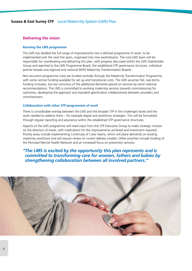# **Delivering the vision**

### **Running the LMS programme**

The LMS has distilled the full range of improvements into a defined programme of work, to be implemented over the next five years, organised into nine workstreams. The core LMS team will be responsible for coordinating and delivering this plan, with progress discussed within the LMS Stakeholder Group and reported to the LMS Programme Board, the established STP governance structure, individual partner boards and regional and national NHSE Maternity Transformation Boards.

Non-recurrent programme costs are funded centrally through the Maternity Transformation Programme, with some central funding available for set up and transitional costs. The LMS assumes flat, real-terms funding increases, but are conscious of the additional demands placed on services by some national recommendations. The LMS is committed to evolving maternity services towards commissioning for outcomes, developing the approach and standard specification collaboratively between providers and commissioners.

### **Collaboration with other STP programmes of work**

There is considerable overlap between the LMS and the broader STP in the challenges faced and the work needed to address them – for example digital and workforce strategies. This will be formalised through regular reporting and assurance within the established STP governance structures.

Aspects of the LMS programme will need input from the STP Executive Group to make strategic choices on the direction of travel, with implications for the improvements achieved and investment required. Priority areas include implementing Continuity of Carer teams, which will place demands on existing maternity workforce and will require review of current delivery models. Other priorities include funding of the Perinatal Mental Health Network and an increased focus on prevention services.

# *"The LMS is excited by the opportunity this plan represents and is committed to transforming care for women, fathers and babies by strengthening collaboration between all involved partners."*

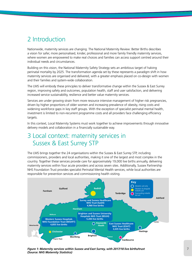# 2 Introduction

Nationwide, maternity services are changing. The National Maternity Review: Better Births describes a vision for safer, more personalised, kinder, professional and more family friendly maternity services, where women are empowered to make real choices and families can access support centred around their individual needs and circumstances.

Building on this vision, the National Maternity Safety Strategy sets an ambitious target of halving perinatal mortality by 2025. The transformation agenda set by these represents a paradigm shift in how maternity services are organised and delivered, with a greater emphasis placed on co-design with women and their families and system-wide collaboration.

The LMS will embody these principles to deliver transformative change within the Sussex & East Surrey region, improving safety and outcomes, population health, staff and user satisfaction, and delivering increased service sustainability, resilience and better value maternity services.

Services are under growing strain from more resource intensive management of higher risk pregnancies, driven by higher proportions of older women and increasing prevalence of obesity, rising costs and widening workforce gaps in key staff groups. With the exception of specialist perinatal mental health, investment is limited to non-recurrent programme costs and all providers face challenging efficiency targets.

In this context, Local Maternity Systems must work together to achieve improvements through innovative delivery models and collaboration in a financially sustainable way.

# 3 Local context: maternity services in Sussex & East Surrey STP

The LMS brings together the 24 organisations within the Sussex & East Surrey STP, including commissioners, providers and local authorities, making it one of the largest and most complex in the country. Together these services provide care for approximately 19,000 live births annually, delivering maternity services within four acute providers and across seven sites. Additionally, Sussex Partnership NHS Foundation Trust provides specialist Perinatal Mental Health services, while local authorities are responsible for prevention services and commissioning health visiting.



*Figure 1: Maternity services within Sussex and East Surrey, with 2017/18 live births/trust (Source: NHS Maternity Statistics)*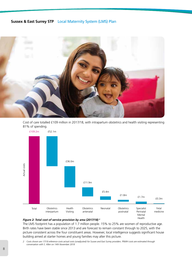

Cost of care totalled £109 million in 2017/18, with intrapartum obstetrics and health visiting representing 81% of spending.



### *Figure 2: Total cost of service provision by area (2017/18) 2*

The LMS footprint has a population of 1.7 million people. 15% to 25% are women of reproductive age. Birth rates have been stable since 2013 and are forecast to remain constant through to 2025, with the picture consistent across the four constituent areas. However, local intelligence suggests significant house building aimed at starter homes and young families may alter this picture.

*2 Costs shown are 17/18 reference costs actual costs (unadjusted) for Sussex and East Surrey providers. PNMH costs are estimated through conversation with S. Allen on 14th November 2018*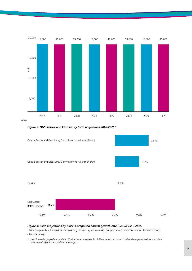

*Figure 3: ONS Sussex and East Surrey birth projections 2018-2025 3*



### *Figure 4: Birth projections by place: Compound annual growth rate (CAGR) 2018-2025*

The complexity of cases is increasing, driven by a growing proportion of women over 35 and rising obesity rates.

*3 ONS Population projections, produced 2016, accessed November 2018. These projections do not consider development policies but include estimates of migration into and out of the region*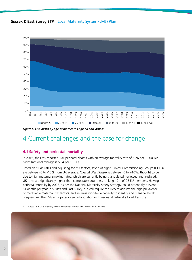



*Figure 5: Live births by age of mother in England and Wales 4*

# 4 Current challenges and the case for change

# **4.1 Safety and perinatal mortality**

In 2016, the LMS reported 101 perinatal deaths with an average mortality rate of 5.26 per 1,000 live births (national average is 5.64 per 1,000).

Based on crude rates and adjusting for risk factors, seven of eight Clinical Commissioning Groups (CCGs) are between 0 to -10% from UK average. Coastal West Sussex is between 0 to +10%, thought to be due to high maternal smoking rates, which are currently being triangulated, reviewed and analysed. UK rates are significantly higher than comparable countries, ranking 19th of 28 EU members. Halving perinatal mortality by 2025, as per the National Maternity Safety Strategy, could potentially prevent 51 deaths per year in Sussex and East Surrey, but will require the LMS to address the high prevalence of modifiable maternal risk factors, and increase workforce capacity to identify and manage at-risk pregnancies. The LMS anticipates close collaboration with neonatal networks to address this.

*4 Sourced from ONS datasets, live birth by age of mother 1980-1999 and 2000-2016*

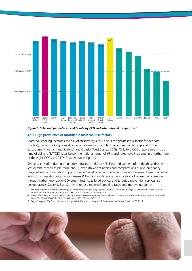

### *Figure 6: Extended perinatal mortality rate by CCG and international comparison 5*

### **4.1.1 High prevalence of modifiable maternal risk factors**

Maternal smoking increases the risk of stillbirth by 47%<sup>6</sup> and is the greatest risk factor for perinatal mortality. Local smoking rates show a large variation, with high rates seen in Hastings and Rother, Eastbourne, Hailsham and Seaford, and Coastal West Sussex CCGs. Only two CCGs report smoking at time of delivery (SATOD) rates below the national target of 6%, and rates have increased in a further four of the eight CCGs in 2017/18, as shown in Figure 7.

Smoking cessation during pregnancy reduces the risk of stillbirths and sudden infant death syndrome (cot death), as well as pre-term labour, low birthweight babies and complications during pregnancy<sup>7</sup>. Targeted smoking cessation support is effective at reducing maternal smoking; however there is variation in smoking cessation rates across Sussex & East Surrey. Accurate identification of women who smoke through carbon monoxide (CO) breath testing, tailored advice, and targeted prevention services are needed across Sussex & East Surrey to reduce maternal smoking rates and improve outcomes.

- *5 Perinatal defined as stillbirths occurring >20 weeks gestation and early neonatal deaths (<7 days postnatally). UK data from MBBRACE 2016 Mortality report, international data from OECD.Stat 2016 Perinatal mortality stats*
- *6 Maternal smoking and the risk of still birth: systematic review and meta-analysis; Takawira C Marufu, Anand Ahankari, Tim Coleman and Sarah Lewis BMC Public Health 2015, 15:239 doi:10.1186/s12889-015-1552-5*
- *7 Royal College of Physicians. Passive smoking and children. A report by the Tobacco Advisory Group. London: RCP, 2010*

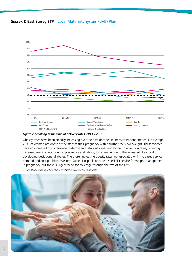

*Figure 7: Smoking at the time of delivery rates, 2013-2018 8*

Obesity rates have been steadily increasing over the past decade, in line with national trends. On average, 20% of women are obese at the start of their pregnancy with a further 25% overweight. These women have an increased risk of adverse maternal and fetal outcomes and higher intervention rates, requiring increased medical input during pregnancy and labour, for example due to the increased likelihood of developing gestational diabetes. Therefore, increasing obesity rates are associated with increased service demand and cost per birth. Western Sussex Hospitals provide a specialist service for weight management in pregnancy, but there is urgent need for coverage through the rest of the LMS.

*8 NHS Digital Smoking at time of delivery statistics, accessed November 2018*

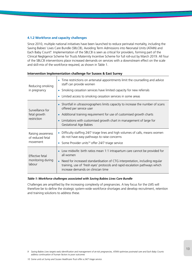# **4.1.2 Workforce and capacity challenges**

Since 2010, multiple national initiatives have been launched to reduce perinatal mortality, including the Saving Babies' Lives Care Bundle (SBLCB), Avoiding Term Admissions into Neonatal Units (ATAIN) and Each Baby Count<sup>9</sup>. Implementation of the SBLCB is seen as critical for providers, forming part of the Clinical Negligence Scheme for Trusts Maternity Incentive Scheme for full roll-out by March 2019. All four of the SBLCB interventions place increased demands on services with a downstream effect on the scale and skill-mix of the workforce required, as shown in Table 1.

| Reducing smoking<br>in pregnancy                  | • Time restrictions on antenatal appointments limit the counselling and advice<br>staff can provide women<br>Smoking cessation services have limited capacity for new referrals<br>$\bullet$<br>Limited access to smoking cessation services in some areas                                  |
|---------------------------------------------------|---------------------------------------------------------------------------------------------------------------------------------------------------------------------------------------------------------------------------------------------------------------------------------------------|
| Surveillance for<br>fetal growth<br>restriction   | Shortfall in ultrasonographers limits capacity to increase the number of scans<br>offered per service user<br>• Additional training requirement for use of customised growth charts<br>Limitations with customised growth chart in management of large for<br><b>Gestational Age Babies</b> |
| Raising awareness<br>of reduced fetal<br>movement | Difficulty staffing 24/7 triage lines and high volumes of calls, means women<br>do not have easy pathways to raise concerns<br>Some Provider units <sup>10</sup> offer 24/7 triage service                                                                                                  |
| Effective fetal<br>monitoring during<br>labour    | Low midwife: birth ratios mean 1:1 intrapartum care cannot be provided for<br>all women<br>Need for increased standardisation of CTG interpretation, including regular<br>training, use of 'fresh eyes' protocols and rapid escalation pathways which<br>increase demands on clinician time |

### **Intervention Implementation challenge for Sussex & East Surrey**

### *Table 1: Workforce challenges associated with Saving Babies Lives Care Bundle*

Challenges are amplified by the increasing complexity of pregnancies. A key focus for the LMS will therefore be to define the strategic system-wide workforce shortages and develop recruitment, retention and training solutions to address these.

*<sup>9</sup> Saving Babies Lives targets early identification and management of at-risk pregnancies, ATAIN optimises postnatal care and Each Baby Counts address continuation of human factors to poor outcomes*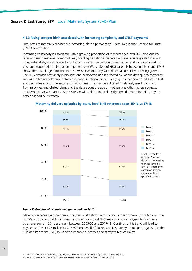### **4.1.3 Rising cost per birth associated with increasing complexity and CNST payments**

Total costs of maternity services are increasing, driven primarily by Clinical Negligence Scheme for Trusts (CNST) contributions.

Increasing complexity is associated with a growing proportion of mothers aged over 35, rising obesity rates and rising maternal comorbidities (including gestational diabetes) – these require greater specialist input antenatally, are associated with higher rates of intervention during labour and increased need for postnatal support (including longer inpatient stays)<sup>11</sup>. Analysis of HRG case mix between 15/16 and 17/18 shows there is a large reduction in the lowest level of acuity with almost all other levels seeing growth. The HRG average cost analysis provides one perspective and is affected by various data quality factors as well as the timing difference between changes in clinical procedures (e.g. intervention on still birth rates) and diagnoses against the setting of HRG criteria. The change indicated is relatively small; comment from midwives and obstetricians, and the data about the age of mothers and other factors suggests an alternative view on acuity. As an STP we will look to find a clinically agreed description of 'acuity' to better support our strategy.



### **Maternity delivery episodes by acuity level NHS reference costs 15/16 vs 17/18**

### *Figure 8: Analysis of casemix change on cost per birth12*

Maternity services bear the greatest burden of litigation claims: obstetric claims make up 10% by volume but 50% by value of all NHS claims. Figure 9 shows total NHS Resolution CNST Payments have risen by an average of 12% per annum between 2005/06 and 2017/18. Continuing this trend will lead to payments of over £26 million by 2022/23 on behalf of Sussex and East Surrey; to mitigate against this the STP (and hence the LMS) must act to improve outcomes and safety to reduce claims.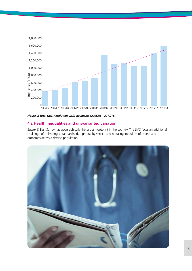

# *Figure 9: Total NHS Resolution CNST payments (2005/06 - 2017/18)*

# **4.2 Health inequalities and unwarranted variation**

Sussex & East Surrey has geographically the largest footprint in the country. The LMS faces an additional challenge of delivering a standardised, high quality service and reducing inequities of access and outcomes across a diverse population.

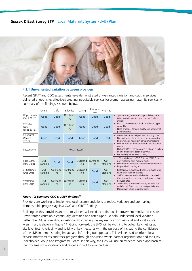

# **4.2.1 Unwarranted variation between providers**

Recent GIRFT and CQC assessments have demonstrated unwarranted variation and gaps in services delivered at each site, effectively creating inequitable services for women accessing maternity services. A summary of the findings is shown below.

|                                  | Overall          | Safe             | Effective        | Caring           | Respon-<br>sive           | Well-led                                                                                                                                                                                  |                                                                                                                                                                                                                                                             |  |  |  |
|----------------------------------|------------------|------------------|------------------|------------------|---------------------------|-------------------------------------------------------------------------------------------------------------------------------------------------------------------------------------------|-------------------------------------------------------------------------------------------------------------------------------------------------------------------------------------------------------------------------------------------------------------|--|--|--|
| Royal Sussex<br>(Sept 2018)      | Good             | Good             | Outstand-<br>ing | Good             | Good                      | Good                                                                                                                                                                                      | Spontaneous, unassisted vaginal delivery rate<br>is below and induction rate is above England                                                                                                                                                               |  |  |  |
| Princess<br>Royal<br>(Sept 2018) | Good             | Good             | Outstand-<br>ing | Good             | Good                      | Good                                                                                                                                                                                      | average<br>Elective c-section rate is high outside the upper<br>control limit<br>Need processes for data quality and accuracy of<br>patient records                                                                                                         |  |  |  |
| Conquest<br>(March<br>2018)      | Good             | Good             | Good             | Good             | Good                      | Good                                                                                                                                                                                      | Worse then expected perinatal mortality rates<br>National outlier for maternal readmission rates<br>Improvements needed in bereavement rooms                                                                                                                |  |  |  |
| Eastbourne                       |                  |                  | Not assessed     |                  |                           | Low FFT rate for intrapartum care and postnatal<br>wards<br>High rate (15%) of spontaneous labours resulting<br>in an emergency C-sections (primips)<br>Data quality issues around parity |                                                                                                                                                                                                                                                             |  |  |  |
| East Surrey<br>(Nov 2018)        | Out-<br>standing | Good             | Good             | ing              | Outstand-Outstand-<br>ing | Out-<br>standing                                                                                                                                                                          | 1:32 midwife ratio (CQC October 2018), Trust<br>now reporting 1:31 midwife ratio.<br>High rates of induction (improvement underway)<br>Purpose built birthing unit                                                                                          |  |  |  |
| St Richard's<br>(Dec 2015)       | Out-<br>standing | Outstand-<br>ing | Outstand-<br>ing | Outstand-<br>ing | Good                      | Out-<br>standing                                                                                                                                                                          | Professional midwifery advocates: midwife ratio<br>lower than national average                                                                                                                                                                              |  |  |  |
| Worthing<br>(Dec 2015)           | Out-<br>standing | Outstand-<br>ing | Outstand-<br>ing | Outstand-<br>ing | Good                      | Out-<br>standing                                                                                                                                                                          | Staff morale low and midwives felt pressured<br>Capacity stretched with need to transfer patients<br>between sites<br>Some delays for women waiting for induction<br>and elective C-sections due to capacity issues<br>Data quality issues regarding parity |  |  |  |

### *Figure 10: Summary CQC & GIRFT findings13*

Providers are working to implement local recommendations to reduce variation and are making demonstrable progress against CQC and GIRFT findings.

Building on this, providers and commissioners will need a continuous improvement mindset to ensure unwarranted variation is continually identified and acted upon. To help understand local variation better, the LMS is compiling a dashboard containing the key metrics from national and local sources. A summary is shown in Figure 11. Going forward, the LMS will be working to collect key metrics at site level testing reliability and validity of key measures with the purpose of increasing the confidence of the LMS in demonstrating impact and informing our approach. This will be used to inform local service improvements and track progress through discussion within partner organisations and the LMS Stakeholder Group and Programme Board. In this way, the LMS will use an evidence-based approach to identify areas of opportunity and target support to local partners.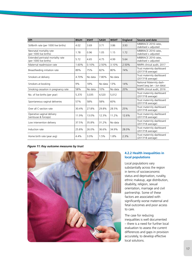| <b>KPI</b>                                                  | <b>BSUH</b> | <b>ESHT</b> | <b>SASH</b> | <b>WSHT</b> | <b>England</b> | Source and date                                        |
|-------------------------------------------------------------|-------------|-------------|-------------|-------------|----------------|--------------------------------------------------------|
| Stillbirth rate (per 1000 live births)                      | 4.02        | 3.69        | 3.71        | 3.86        | 3.93           | MBBRACE 2016 rates.<br>stabilised + adjusted           |
| Neonatal mortality rate<br>(per 1000 live births)           | 1.78        | 0.96        | 1.05        | 1.15        | 1.72           | MBBRACE 2016 rates.<br>stabilised + adjusted           |
| Extended perinatal mortality rate<br>(per 1000 live births) | 5.72        | 4.65        | 4.75        | 4.99        | 5.64           | MBBRACE 2016 rates.<br>stabilised + adjusted           |
| Maternal readmission rate                                   | 1.60%       | 0.10%       | 2.50%       | 3.10%       | 2.50%          | NMPA clinical audit, 2017                              |
| Breastfeeding initiation rate                               | 89%         | 75%         | 82%         | 80%         | 74%            | Trust maternity dashboard<br>(2017/18 average)         |
| Smokers at delivery                                         | 4.70%       | No data     | 7.80%       | No data     |                | Trust maternity dashboard<br>(2017/18 average)         |
| Smokers at booking                                          | 9%          | 18%         | No data     | 13%         | 14%            | National Maternity dash-<br>board (avg Jan - Jun data) |
| Smoking cessation in pregnancy rate                         | 58%         | No data     | 10%         | No data     | 20%            | NMPA clinical audit, 2016                              |
| No. of live births (per year)                               | 5,370       | 3,035       | 4,520       | 5,012       |                | Trust maternity dashboard<br>(2017/18 average)         |
| Spontaneous vaginal deliveries                              | 57%         | 58%         | 58%         | 60%         |                | Trust maternity dashboard<br>(2017/18 average)         |
| Over all C-section rate                                     | 30.4%       | 27.8%       | 29.8%       | 28.5%       | 25%            | Trust maternity dashboard<br>(2017/18 average)         |
| Operative vaginal delivery<br>(ventouse & forceps)          | 11.9%       | 13.0%       | 12.3%       | 11.2%       | 12.6%          | Trust maternity dashboard<br>(2017/18 average)         |
| Low intervention delivery                                   | 37.5%       | 35.8%       | 31.2%       | No data     |                | Trust maternity dashboard<br>(2017/18 average)         |
| Induction rate                                              | 25.8%       | 26.0%       | 36.6%       | 34.9%       | 28.0%          | Trust maternity dashboard<br>(2017/18 average)         |
| Home birth rate (year avg)                                  | 4.4%        | 3.0%        | 1.5%        | 1.8%        | 2.3%           | Trust maternity dashboard<br>(2017/18 average)         |

### *Figure 11: Key outcome measures by trust*



# **4.2.2 Health inequalities in local populations**

Local populations vary substantially across the region in terms of socioeconomic status and deprivation, rurality, ethnic makeup, age distribution, disability, religion, sexual orientation, marriage and civil partnership. Some of these factors are associated with significantly worse maternal and fetal outcomes and poor access to care.

The case for reducing inequalities is well documented – there is a need for further local evaluation to assess the current differences and gaps in provision accurately, to develop effective local solutions.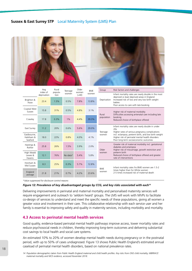

|                                      | Avg<br>index of | Rural           | Teenage  | Older           | <b>BMF</b> | Group       | Risk factors and challenges                                                                                                                       |
|--------------------------------------|-----------------|-----------------|----------|-----------------|------------|-------------|---------------------------------------------------------------------------------------------------------------------------------------------------|
|                                      | deprivation     | popula-<br>tion | women    | women<br>( >40) | women      |             | Infant mortality rates are nearly double in the most                                                                                              |
| Brighton &<br>Hove                   | 23.4            | 1.5%            | 0.5%     | 7.8%            | 13.8%      | Deprivation | deprived vs least deprived areas in England<br>Increased risk of low and very low birth weight<br>babies<br>Poor access to care with late booking |
| Coastal West<br>Sussex               | 15.8            | 31%             | 0.5%     | 4.8%            | 3.1%       | Rural       | Higher risk of maternal morbidity<br>Difficulties accessing antenatal care including late                                                         |
| Crawley                              | 17.8            | 0.3%            | 1%       | 4.4%            | 39.3%      | population  | booking<br>Reduced choice of birthplace offered                                                                                                   |
| East Surrey                          | 11.2            | 20%             | 0.6%     | 5.6%            | 29.0%      | Teenage     | Infant mortality rates are nearly double in under<br>20s<br>Higher rates of serious pregnancy complications                                       |
| Eastbourne,<br>Hailsham &<br>Seaford | 18.0            | 22%             | 0.8%     | 4.0%            | 4.1%       | women       | incl. eclampsia, preterm birth, and low birth weight<br>Higher risk of perinatal mental health disorders<br>Poor long-term socioeconomic outcomes |
| Hastings &<br>Rother                 | 25.8            | 26%             | 1.5%     | 3.9%            | 2.0%       | Older       | Greater risk of maternal morbidity incl. gestational<br>diabetes and eclampsia<br>Higher risk of miscarriage, growth restriction and              |
| High Weald<br>Lewes &<br>Havens      | 12.1            | 76%             | No data* | 5.4%            | 5.8%       | women       | preterm birth<br>Reduced choice of birthplace offered and greater<br>rate of interventions                                                        |
| Horsham &<br>Mid Sussex              | 8.3             | 25%             | 0.3%     | 5.7%            | 12.8%      | <b>BME</b>  | Infant mortality rates fro BME women are 1.5-2                                                                                                    |
| England<br>average                   | 21.8            | 21%             | 0.7%     | 4.2%            | 23.6%      | women       | times higher than for White women<br>2-5 times increased risk of maternal death                                                                   |

*\*Value suppressed for disclosure control reasons*

#### *Figure 12: Prevalence of key disadvantaged groups by CCG, and key risks associated with each14*

Delivering improvements in perinatal and maternal mortality and personalised maternity services will require engagement and outreach to 'seldom heard' groups. The LMS will work with MVPs to facilitate co-design of services to understand and meet the specific needs of these populations, giving all women a greater voice and involvement in their care. This collaborative relationship with each service user and her family is essential to improving safety and quality in maternity services, including morbidity and mortality.

# **4.3 Access to perinatal mental health services**

Good quality, evidence-based perinatal mental health pathways improve access, lower mortality rates and reduce psychosocial needs in children, thereby improving long-term outcomes and delivering substantial cost savings to local health and social care systems.

An estimated 10% to 20% of women develop mental health needs during pregnancy or in the postnatal period, with up to 50% of cases undiagnosed. Figure 13 shows Public Health England's estimated annual caseload of perinatal mental health disorders, based on national prevalence rates.

*<sup>14</sup> Population demographics taken from Public Health England maternal and child health profiles. Key risks from ONS child mortality, MBRRACE maternal mortality and NICE evidence, accessed November 2018.*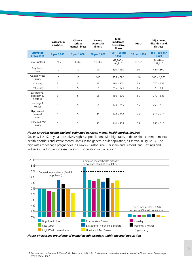|                                      | Postpartum<br>psychosis | Chronic<br>serious<br>mental illness | <b>Severe</b><br>depressive<br>illness | Mild-<br>moderate<br>depressive<br>illness | <b>PTSD</b>  | Adjustment<br>disorders and<br>distress |
|--------------------------------------|-------------------------|--------------------------------------|----------------------------------------|--------------------------------------------|--------------|-----------------------------------------|
| <b>Estimated</b><br>prevalence       | 2 per 1,000             | 2 per 1,000                          | 30 per 1,000                           | $100 - 150$ per<br>1,000                   | 30 per 1,000 | $150 - 300$ per<br>1,000                |
| <b>Total England</b>                 | 1,265                   | 1,265                                | 18,965                                 | $63,205 -$<br>94,810                       | 18,965       | $94,810 -$<br>189,615                   |
| Brighton &<br>Hove                   | 10                      | 10                                   | 90                                     | $290 - 430$                                | 90           | 430 - 860                               |
| Coastal West<br>Sussex               | 10                      | 10                                   | 140                                    | $455 - 680$                                | 140          | $680 - 1,360$                           |
| Crawley                              | 5                       | 5                                    | 55                                     | $180 - 270$                                | 55           | $270 - 535$                             |
| East Surrey                          | 5                       | 5                                    | 65                                     | $215 - 320$                                | 65           | $320 - 635$                             |
| Eastbourne.<br>Hailsham &<br>Seaford | 5                       | 5                                    | 55                                     | $180 - 270$                                | 55           | $270 - 535$                             |
| Hastings &<br>Rother                 | 5                       | 5                                    | 55                                     | $170 - 255$                                | 55           | $255 - 510$                             |
| High Weald<br>Lewes &<br>Havens      | 5                       | 5                                    | 45                                     | $140 - 210$                                | 45           | $210 - 415$                             |
| Horsham & Mid<br>Sussex              | 5                       | 5                                    | 75                                     | $240 - 355$                                | 75           | $355 - 710$                             |

### *Figure 13: Public Health England, estimated perinatal mental health burden, 2015/16*

Sussex & East Surrey has a relatively high-risk population, with high rates of depression, common mental health disorders and severe mental illness in the general adult population, as shown in Figure 14. The high rates of teenage pregnancies in Crawley, Eastbourne, Hailsham and Seaford, and Hastings and Rother CCGs further increase the at-risk population in the region<sup>15</sup>.



*Figure 14: Baseline prevalence of mental health disorders within the local population*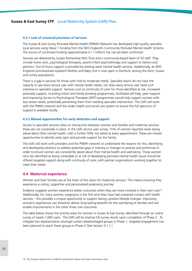### **4.3.1 Lack of universal provision of services**

The Sussex & East Surrey Perinatal Mental Health (PNMH) Network has developed high-quality specialist local services using Wave 1 funding from the NHS England's Community Perinatal Mental Health Scheme. The source of continued funding (approximately £1.7 million) has not yet been confirmed.

Services are delivered by Sussex Partnership NHS Trust and a community-based team of 50 staff. They include home visits, psychological therapies, parent-infant psychotherapy and support to fathers and partners. Out of hours support is provided by existing adult mental health services. Additionally, an NHS England-commissioned inpatient Mother and Baby Unit is now open in Dartford, serving the Kent, Sussex and Surrey populations.

There is a gap in services for those with mild to moderate needs. Specialist teams do not have the capacity to see every service user with mental health needs, nor does every service user need such intensive or specialist support. Services such as continuity of carer for those identified at risk, increased postnatal support, including infant and family bonding programmes, facilitated self-help, peer support and Improving Access to Psychological Therapies (IAPT) programmes would help support women with less severe needs, potentially preventing them from needing specialist intervention. The LMS will work with the PNMH network and the wider health and social care system to ensure the full spectrum of support is available locally.

### **4.3.2 Missed opportunities for early detection and support**

Access to specialist services relies on strong links between women and families and maternity services: these are not universally in place. In the LMS service user survey, 15% of women reported never being asked about their mental health, with a further 59% not asked at every appointment. These are missed opportunites to identify early signs and provide support for the family.

The LMS will work with providers and the PNMH network to understand the reasons for this, identifying and developing solutions to address potential gaps in training or changes to policies and proformas in order to ensure women are consistently asked about their mental health and well-being. Those women who are identified as being vulnerable or at risk of developing perinatal mental health issues should be offered targeted support along with continuity of carer, with partner organisations working together to meet their needs.

### **4.4 Maternal experience**

Women and their families are at the heart of the vision for maternity services. This means ensuring they experience a caring, supportive and personalised pregnancy journey.

Evidence suggests women experience better outcomes when they are more involved in their own care<sup>16</sup>. Additionally, for many women, pregnancy is the first time they have had sustained contact with health services – this provides a unique opportunity to support lasting, positive lifestyle changes. Improving women's experiences can therefore deliver long-lasting benefits for the well-being of families and will enable improvements in the other three core outcomes.

The table below shows the priority areas for women in Sussex & East Surrey, identified through an online survey of nearly 1,000 users. The LMS will be sharing full survey results upon completion of Phase 2. To mitigate low representation amongst certain disadvantaged groups in Phase 1, targeted engagement has been planned to reach these groups in Phase 2 (See Section 9.1.1.)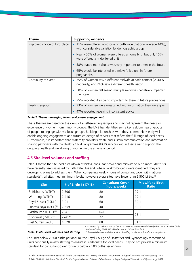| <b>Theme</b>                  | <b>Supporting evidence</b>                                                                                                        |
|-------------------------------|-----------------------------------------------------------------------------------------------------------------------------------|
| Improved choice of birthplace | 11% were offered no choice of birthplace (national average 14%),<br>$\bullet$<br>with considerable variation by demographic group |
|                               | Nearly 50% of women were offered a home birth but only 15%<br>were offered a midwife-led unit                                     |
|                               | 58% stated more choice was very important to them in the future                                                                   |
|                               | 65% would be interested in a midwife-led unit in future<br>pregnancies                                                            |
| Continuity of Carer           | 35% of women saw a different midwife at each contact (vs 40%<br>nationally) and 24% saw a different health visitor                |
|                               | 30% of women felt seeing multiple midwives negatively impacted<br>their care                                                      |
|                               | 75% reported it as being important to them in future pregnancies                                                                  |
| Feeding support               | 33% of women were unsatisfied with information they were given                                                                    |
|                               | 47% reported receiving inconsistent advice                                                                                        |

### *Table 2: Themes emerging from service user engagement*

These themes are based on the views of a self-selecting sample and may not represent the needs or experience of women from minority groups. The LMS has identified some key 'seldom heard' groups of people to engage with via focus groups. Building relationships with these communities early will enable ongoing engagement and future co-design of services that reflect the full range of local needs. Furthermore, it is important that Maternity providers create and sustain communication and information sharing pathways with the Healthy Child Programme (HCP) services within their area to support the ongoing health and well-being of women in the antenatal period.

# **4.5 Site-level volumes and staffing**

Table 3 shows the site-level breakdown of births, consultant cover and midwife to birth ratios. All trusts have recently been assessed by Birth Rate Plus and, where workforce gaps were identified, they are developing plans to address them. When comparing weekly hours of consultant cover with national standards<sup>17</sup>, all sites meet minimum levels, however several sites have fewer than 2,500 births.<sup>18</sup>

| <b>Site</b>                         | # of Birthst (17/18) | <b>Consultant Cover</b><br>(hours/week) | <b>Midwife to Birth</b><br><b>Ratio</b> |
|-------------------------------------|----------------------|-----------------------------------------|-----------------------------------------|
| St Richards (WSHT)                  | 2,596                | 80                                      | 79:1                                    |
| Worthing (WSHT)                     | 2,416                | 80                                      | 29:1                                    |
| Royal Sussex (BSUH) <sup>++</sup>   | 3,011                | 60                                      | 30:1                                    |
| Princess Royal (BSUH) <sup>++</sup> | 2,359                | 40                                      | 30:1                                    |
| Eastbourne (ESHT) <sup>+++</sup>    | $794*$               | N/A                                     |                                         |
| Conquest (ESHT) <sup>+++</sup>      | $2741*$              | 72                                      | 28:1                                    |
| East Surrey (SaSH)                  | 4,520                | 88                                      | 31:1                                    |

*† Trust Maternity Dashboards October 2018: WSH report women delivered;other trusts show live births †† Estimated using 18/19 M6 YTD site data and 17/18 Trust births*

Table 3: Site-level volumes and staffing that Site-level data not available at time of writing \* Includes unit and community births

For units below 2,500 births per annum, the Royal College of Obstetrics and Gynaecology recommend units continually review staffing to ensure it is adequate for local needs. They do not provide a minimum standard for consultant cover for units below 2,500 births per annum.

*18 Safer Childbirth: Minimum Standards for the Organisation and Delivery of Care in Labour; Royal College of Obstetrics and Gynaecology, 2007 17 Safer Childbirth: Minimum Standards for the Organisation and Delivery of Care in Labour; Royal College of Obstetrics and Gynaecology, 2007*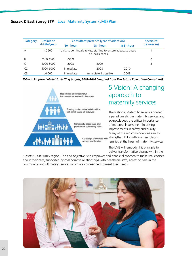| Category       | <b>Definition</b> | Consultant presence (year of adoption) | <b>Specialist</b>                                                                |            |              |  |  |  |
|----------------|-------------------|----------------------------------------|----------------------------------------------------------------------------------|------------|--------------|--|--|--|
|                | (births/year)     | $60 - hour$                            | <b>98 - hour</b>                                                                 | 168 - hour | trainees (n) |  |  |  |
| А              | $<$ 2500          |                                        | Units to continually review staffing to ensure adequate based<br>on locals needs |            |              |  |  |  |
| B              | 2500-4000         | 2009                                   |                                                                                  |            | I.           |  |  |  |
|                | 4000-5000         | 2008                                   | 2009                                                                             |            | 3            |  |  |  |
| C <sub>2</sub> | 5000-6000         | Immediate                              | 2008                                                                             | 2010       |              |  |  |  |
| C <sub>3</sub> | >6000             | Immediate                              | Immediate if possible                                                            | 2008       |              |  |  |  |

*Table 4: Proposed obstetric staffing targets, 2007–2010 (adapted from The Future Role of the Consultant)*



# 5 Vision: A changing approach to maternity services

The National Maternity Review signalled a paradigm shift in maternity services and acknowledges the critical importance of maternal involvement in driving improvements in safety and quality. Many of the recommendations aim to strengthen links with women, placing families at the heart of maternity services.

The LMS will embody this principle to deliver transformative change within the

Sussex & East Surrey region. The end objective is to empower and enable all women to make real choices about their care, supported by collaborative relationships with healthcare staff, access to care in the community, and ultimately services which are co-designed to meet their needs.

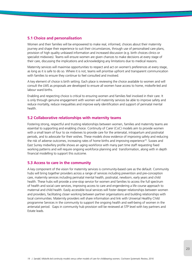# **5.1 Choice and personalisation**

Women and their families will be empowered to make real, informed, choices about their maternity journey and shape their experience to suit their circumstances, through use of personalised care plans, provision of high quality unbiased information and increased discussion (e.g. birth choices clinics or specialist midwives). Teams will ensure women are given chances to make decisions at every stage of their care, discussing the implications and acknowledging any limitations due to medical reasons.

Maternity services will maximise opportunities to respect and act on women's preferences at every stage, as long as it is safe to do so. Where it is not, teams will prioritise upfront and transparent communication with families to ensure they continue to feel consulted and involved.

A key element of choice is birth setting. Each place is reviewing the choice available to women and will consult the LMS as proposals are developed to ensure all women have access to home, midwife-led and labour ward births.

Enabling and respecting choice is critical to ensuring women and families feel involved in their care. It is only through genuine engagement with women will maternity services be able to improve safety and reduce mortality, reduce inequalities and improve early identification and support of perinatal mental health.

# **5.2 Collaborative relationships with maternity teams**

Fostering strong, respectful and trusting relationships between women, families and maternity teams are essential to supporting and enabling choice. Continuity of Carer (CoC) models aim to provide women with a small team of four to six midwives to provide care for the antenatal, intrapartum and postnatal periods, and to advocate for their wishes. These models show evidence of improving safety and reducing the risk of adverse outcomes, increasing rates of home births and improving experience19. Sussex and East Surrey midwifery profile shows an aging workforce with many part time staff requesting fixed working patterns and will require ongoing workforce planning and transformation, along with in depth financial modelling to support this outcome.

# **5.3 Access to care in the community**

A key component of the vision for maternity services is community-based care as the default. Community hubs will bring together providers across a range of services including prevention and pre-conception care, maternity services including perinatal mental health, postnatal, newborn, early years and child health. These hubs will provide a one-stop service for women and families to access the full spectrum of health and social care services, improving access to care and engendering a life course approach to maternal and child health. Easily accessible local services will foster deeper relationships between women and providers, facilitating closer working between partner organisations and building relationships with local communities. Maternity providers will share information and link with Universal Healthy Child programme Services in the community to support the ongoing health and well-being of women in the antenatal period. Gaps in community hub provision will be reviewed at STP level with key partners and Estate leads.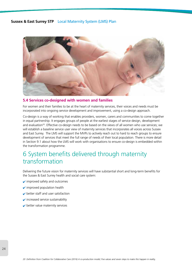

# **5.4 Services co-designed with women and families**

For women and their families to be at the heart of maternity services, their voices and needs must be incorporated into ongoing service development and improvement, using a co-design approach.

Co-design is a way of working that enables providers, women, carers and communities to come together in equal partnership. It engages groups of people at the earliest stages of service design, development and evaluation<sup>20</sup>. Effective co-design needs to be based on the views of all women who use services; we will establish a baseline service user view of maternity services that incorporates all voices across Sussex and East Surrey. The LMS will support the MVPs to actively reach out to hard to reach groups to ensure development of services that meet the full range of needs of their local population. There is more detail in Section 9.1 about how the LMS will work with organisations to ensure co-design is embedded within the transformation programme.

# 6 System benefits delivered through maternity transformation

Delivering the future vision for maternity services will have substantial short and long-term benefits for the Sussex & East Surrey health and social care system:

- $\vee$  improved safety and outcomes
- $\sqrt{}$  improved population health
- $\triangleright$  better staff and user satisfaction
- $\triangleright$  increased service sustainability
- $\blacktriangleright$  better value maternity services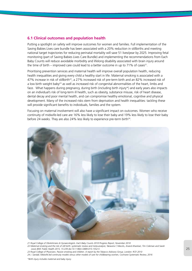# **6.1 Clinical outcomes and population health**

Putting a spotlight on safety will improve outcomes for women and families. Full implementation of the Saving Babies Lives care bundle has been associated with a 20% reduction in stillbirths and meeting national target trajectories for reducing perinatal mortality will save 51 lives/year by 2025. Improving fetal monitoring (part of Saving Babies Lives Care Bundle) and implementing the recommendations from Each Baby Counts will reduce avoidable morbidity and lifelong disability associated with brain injury around the time of birth – improved care could lead to a better outcome in up to 71% of cases<sup>21</sup>.

Prioritising prevention services and maternal health will improve overall population health, reducing health inequalities and giving every child a healthy start in life. Maternal smoking is associated with a 47% increase in risk of stillbirth<sup>22</sup>, a 27% increased risk of pre-term birth and an 82% increased risk of a low birth weight baby<sup>23</sup> as well as increased risk of congenital abnormalities of the heart, limbs and face. What happens during pregnancy, during birth (including birth injury\*) and early years also impacts on an individual's risk of long-term ill health, such as obesity, substance misuse, risk of heart disease, dental decay and poor mental health, and can compromise healthy emotional, cognitive and physical development. Many of the increased risks stem from deprivation and health inequalities: tackling these will provide significant benefits to individuals, families and the system.

Focusing on maternal involvement will also have a significant impact on outcomes. Women who receive continuity of midwife-led care are 16% less likely to lose their baby and 19% less likely to lose their baby before 24 weeks. They are also 24% less likely to experience pre-term birth<sup>24</sup>.



*21 Royal College of Obstetricians & Gynaecologists. Each Baby Counts 2018 Progress Report, November 2018 22 Maternal smoking and the risk of still birth: systematic review and meta-analysis; Takawira C Marufu, Anand Ahankari, Tim Coleman and Sarah Lewis BMC Public Health 2015, 15:239 doi:10.1186/s12889-015-1552-5 23 Royal College of Physicians. Passive smoking and children. A report by the Tobacco Advisory Group. London: RCP, 2010*

*24 J. Sandall, Midwife.led continuity models versus other models of care for childbearing women, Cochrane Systematic Review, 2016*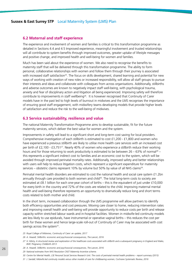## **6.2 Maternal and staff experience**

The experience and involvement of women and families is critical to this transformation programme as detailed in Sections 4.4 and 4.5 Improved experience, meaningful involvement and trusted relationships will all contribute to system benefits through improved outcomes, greater uptake of lifestyle messages and positive change, and improved health and well-being for women and families.

Much has been said about the experience of women. We also need to recognise the benefits to maternity staff that will be delivered through this transformation programme. The ability to form personal, collaborative relationships with women and follow them through their journey is associated with increased staff satisfaction<sup>25</sup>. The focus on skills development, shared learning and potential for new ways of working with creation of new roles or increased responsibility, will allow all staff groups to pursue their interests and ideas and collaborate with colleagues from across organisations. Additionally, stillbirths and adverse outcomes are known to negatively impact staff well-being, with psychological trauma, anxiety and fear of disciplinary action and litigation all being experienced. Improving safety will therefore contribute to improvements in staff wellbeing $^{26}$ . It is however recognised that Continuity of Carer models have in the past led to high levels of burnout in midwives and the LMS recognises the importance of ensuring good staff engagement, with midwifery teams developing models that provide higher levels of satisfaction and reduce the risk to the well-being of midwives.

# **6.3 Service sustainability, resilience and value**

The national Maternity Transformation Programme aims to develop sustainable, fit for the future maternity services, which deliver the best value for women and the system.

Improvements in safety will lead to a significant short and long-term cost saving for local providers. Comprehensive investigation of each stillbirth is estimated to cost £1,200 - £1,800 and women who have experienced a previous stillbirth are likely to utilise more health care services with an increased cost per birth of £2,100 - £3,75127. Nearly 40% of women who experience a stillbirth reduce their working hours and for those returning to work productivity is estimated to be between 26 – 63% of normal<sup>28</sup> – this represents a significant indirect cost to families and an economic cost to the system, which will be avoided through improved perinatal mortality rates. Additionally, improved safety and better relationships with users will help to reduce litigation costs, which represent a significant expenditure for maternity services – obstetric claims represent 10% by volume but 50% by value of all NHS claims<sup>29</sup>.

Perinatal mental health disorders are estimated to cost the national health and social care system £1.2bn annually through care provided to both women and child<sup>30</sup>. The total long-term costs to society are estimated at £8.1 billion for each one-year cohort of births – this is the equivalent of just under £10,000 for every birth in the country and 72% of the costs are related to the child. Improving maternal mental health and well-being therefore represents an opportunity to dramatically reduce long and short terms costs related to both mother and child.

In the short term, increased collaboration through the LMS programme will allow partners to identify both efficiency opportunities and cost pressures. Moving care closer to home, reducing intervention rates and improving overall health and well-being will provide opportunity to reduce costs per birth and release capacity within stretched labour wards and in-hospital facilities. Women in midwife-led continuity models are less likely to use epidurals, have instrumental or operative vaginal births – this reduces the cost per birth for these women and hence large-scale roll-out of Continuity of Carer may be associated with cost savings across the system<sup>31</sup>.

*31 J. Sandall, Midwife.led continuity models versus other models of care for childbearing women, Cochrane Systematic Review, 2016*

*<sup>25</sup> Royal College of Midwives, Continuity of Carer: an update, 2017*

*<sup>26</sup> A. Heazell, Stillbirths: economic and psychosocial consequences, The Lancet, 2016*

*<sup>27</sup> H. Mistry, A structured review and exploration of the healthcare costs associated with stillbirth and a subsequent pregnancy in England and Wales, BMC Pregnancy Childbirth 2013*

*<sup>28</sup> A. Heazell, Stillbirths: economic and psychosocial consequences, The Lancet, 2016*

*<sup>29</sup> National estimates from NHS Resolution CNST Maternity Incentive scheme.*

*<sup>30</sup> Centre for Mental Health, LSE Personal Social Services Research Unit. The costs of perinatal mental health problems – report summary (2015)*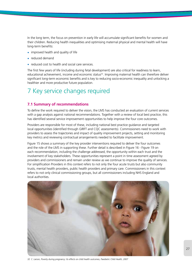In the long term, the focus on prevention in early life will accumulate significant benefits for women and their children. Reducing health inequalities and optimising maternal physical and mental health will have long-term benefits:

- **•** improved health and quality of life
- **•** reduced demand
- **•** reduced cost to health and social care services.

The first few years of life (including during fetal development) are also critical for readiness to learn, educational achievement, income and economic status<sup>32</sup>. Improving maternal health can therefore deliver significant long-term economic benefits and is key to reducing socio-economic inequality and unlocking a healthier and more productive future population.

# 7 Key service changes required

# **7.1 Summary of recommendations**

To define the work required to deliver the vision, the LMS has conducted an evaluation of current services with a gap analysis against national recommendations. Together with a review of local best practice, this has identified several service improvement opportunities to help improve the four core outcomes.

Providers are responsible for most of these, including national best practice guidance and targeted local opportunities (identified through GIRFT and CQC assessments). Commissioners need to work with providers to assess the trajectories and impact of quality improvement projects, setting and monitoring key metrics and reviewing contractual arrangements needed to facilitate improvement.

Figure 15 shows a summary of the key provider interventions required to deliver the four outcomes and the role of the LMS in supporting these. Further detail is described in Figure 16 - Figure 19 on each recommendation, including the challenge addressed, the opportunity within each trust and the involvement of key stakeholders. These opportunities represent a point in time assessment agreed by providers and commissioners and remain under review as we continue to improve the quality of services. For simplification Providers in this context refers to not only the four acute trusts but also community trusts, mental health providers, public health providers and primary care. Commissioners in this context refers to not only clinical commissioning groups, but all commissioners including NHS England and local authorities.



*32 C. Larson, Poverty during pregnancy: Its effects on child health outcomes, Paediatric Child Health, 2007*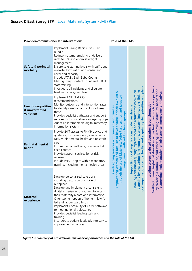# Provider/commissioner led interventions **Role of the LMS**

| <b>Safety &amp; perinatal</b><br>mortality               | Implement Saving Babies Lives Care<br><b>Bundle</b><br>Reduce maternal smoking at delivery<br>rates to 6% and optimise weight<br>management<br>Ensure safe staffing levels with sufficient<br>midwife: birth ratios and consultant<br>cover and capacity<br>Include ATAIN, Each Baby Counts,<br>Making Every Contact Count and CTG In<br>staff training<br>Investigate all incidents and circulate<br>feedback at a system level                                                             |                                                                                                                                                                                                                 | and plans                                                                                                                                                                                                                                              | partners                                                                                                                                            |
|----------------------------------------------------------|----------------------------------------------------------------------------------------------------------------------------------------------------------------------------------------------------------------------------------------------------------------------------------------------------------------------------------------------------------------------------------------------------------------------------------------------------------------------------------------------|-----------------------------------------------------------------------------------------------------------------------------------------------------------------------------------------------------------------|--------------------------------------------------------------------------------------------------------------------------------------------------------------------------------------------------------------------------------------------------------|-----------------------------------------------------------------------------------------------------------------------------------------------------|
| <b>Health inequalities</b><br>& unwarranted<br>variation | Implement GIRFT & CQC<br>recommendations<br>Monitor outcome and intervention rates<br>to identify variation and act to address<br>these<br>Provide specialist pathways and support<br>services for known disadvantaged groups<br>Adopt an interoperable digital maternity<br>information system                                                                                                                                                                                              | targeted                                                                                                                                                                                                        |                                                                                                                                                                                                                                                        | structural barriers and<br>collaboration across health and social care                                                                              |
| <b>Perinatal mental</b><br>health                        | Provide 24/7 access to PNMH advice and<br>guidance, incl. emergency assessments<br>Deliver joint mental health and obstetric<br>care<br>Ensure mental wellbeing is assessed at<br>each contact<br>Provide support services for at-risk<br>women<br>Include PNMH topics within mandatory<br>training, including mental health crises                                                                                                                                                          | Empowering women and families to have a voice in their own care,<br>Co-designing services with women and families<br>through the use of Maternity Voice Partnerships and<br>engagement with seldom heard groups | continuous quality improvement and robust transformation<br>planning by evaluating long-term and/or system implications, linking<br>al organisations central bodies and aligning system priorities<br>Supporting local organisations to deliver change | implementation of joint service improvement initiatives<br>Leading system-wide collaboration & transformation<br>culture of joint working, removing |
| <b>Maternal</b><br>experience                            | Develop personalised care plans,<br>including discussion of choice of<br>birthplace<br>Develop and implement a consistent,<br>digital experience for women to access<br>their maternity record and information.<br>Offer women option of home, midwife-<br>led and labour ward births<br>Implement Continuity of Carer pathways<br>to meet national trajectories<br>Provide specialist feeding staff and<br>training<br>Incorporate patient feedback into service<br>improvement initiatives |                                                                                                                                                                                                                 | <b>Enabling</b><br><u>ŏ</u>                                                                                                                                                                                                                            | ilitating meaningful<br>æ<br>supporting<br>y creating<br>م<br>م<br>م                                                                                |

*Figure 15: Summary of provider/commissioner opportunities and the role of the LM*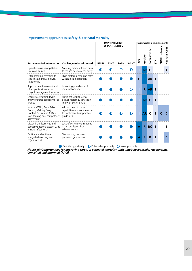|                                                                                                                             |                                                                                                   |             | <b>IMPROVEMENT</b>                  | System roles in improvements |             |      |           |             |     |              |              |
|-----------------------------------------------------------------------------------------------------------------------------|---------------------------------------------------------------------------------------------------|-------------|-------------------------------------|------------------------------|-------------|------|-----------|-------------|-----|--------------|--------------|
| Recommended intervention Challenge to be addressed                                                                          |                                                                                                   | <b>BSUH</b> | <b>OPPORTUNITIES</b><br><b>ESHT</b> | <b>SASH</b>                  | <b>WSHT</b> | SINT | Provider  | Commissione | SТP | PNMH network | Neonatal ODN |
| Operationalise Saving Babies<br>Lives care bundle                                                                           | Meeting national trajectories<br>to reduce perinatal mortality                                    | D           |                                     |                              |             |      | ΑR        | C           |     |              |              |
| Offer smoking cessation to<br>reduce smoking at delivery<br>rates to 6%                                                     | High maternal smoking rates<br>within local population                                            |             |                                     |                              |             | C    | R         | <b>AR</b>   |     |              |              |
| Support healthy weight and<br>offer specialist maternal<br>weight management services                                       | Increasing prevalence of<br>maternal obesity                                                      |             |                                     |                              |             |      | R.        | <b>AR</b>   |     |              |              |
| Ensure safe staffing levels<br>and workforce capacity for all<br>groups                                                     | Sufficient workforce to<br>deliver maternity services in<br>line with Better Births               |             |                                     |                              |             |      | <b>AR</b> | C           | ı   |              |              |
| Include ATAIN, Each Baby<br>Counts, Making Every<br>Contact Count and CTG in<br>staff training and competence<br>assessment | All staff need to have<br>capabilities and competence<br>to implement best practice<br>quidelines |             |                                     |                              |             |      | <b>AR</b> | C           |     |              |              |
| Disseminate learnings and<br>corrective actions system-wide of lessons learnt from<br>in LMS safety forum                   | Lack of system-wide sharing<br>adverse events                                                     |             |                                     |                              |             | Α    | R         | <b>RC</b>   |     |              |              |
| Facilitate and optimise<br>integrated working across<br>organisations                                                       | Silo working between<br>partner organisations                                                     |             |                                     |                              |             | Α    | R         | R           |     |              |              |

# **Improvement opprtunities: safety & perinatal mortality**

Definite opportunity  $\bigcirc$  Potential opportunity  $\bigcirc$  No opportunity

*Figure 16: Opportunities for improving safety & perinatal mortality with who's Responsible, Accountable, Consulted and Informed (RACI)*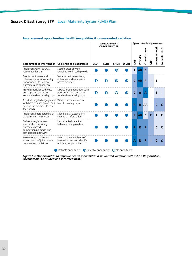|                                                                                                                                     |                                                                                        | <b>IMPROVEMENT</b><br><b>OPPORTUNITIES</b> |             |             |                |              |           |                         |    | System roles in improvements |              |  |  |  |  |  |
|-------------------------------------------------------------------------------------------------------------------------------------|----------------------------------------------------------------------------------------|--------------------------------------------|-------------|-------------|----------------|--------------|-----------|-------------------------|----|------------------------------|--------------|--|--|--|--|--|
| Recommended intervention Challenge to be addressed                                                                                  |                                                                                        | <b>BSUH</b>                                | <b>ESHT</b> | <b>SASH</b> | <b>WSHT</b>    | SIN          | Provider  | Commissioner            | ξÈ | PNMH network                 | Neonatal ODN |  |  |  |  |  |
| Implement GIRFT & CQC<br>recommendations                                                                                            | Specific areas of work<br>identified within each provider                              |                                            |             |             |                |              | AR        | C                       |    |                              |              |  |  |  |  |  |
| Monitor outcomes and<br>intervention rates to identify<br>opportunities to improve<br>outcomes and experience                       | Variation in interventions,<br>outcomes and experience<br>across providers             |                                            |             |             |                | $\mathsf{C}$ | <b>AR</b> | $\mathbf R$             |    |                              |              |  |  |  |  |  |
| Provide specialist pathways<br>and support services for<br>known disadvantaged groups                                               | Diverse local populations with<br>poor access and outcomes<br>for disadvantaged groups | D                                          |             |             |                | C            | R         | Α                       |    |                              |              |  |  |  |  |  |
| Conduct targeted engagement Worse outcomes seen in<br>with hard to reach groups and<br>develop interventions to meet<br>their needs | hard to reach groups                                                                   |                                            |             |             |                | R            | R         | <b>AR</b>               |    |                              |              |  |  |  |  |  |
| Implement interoperability of<br>digital maternity services                                                                         | Siloed digital systems limit<br>sharing of information                                 |                                            |             |             |                | R.           | <b>AR</b> | C                       | C  |                              |              |  |  |  |  |  |
| Define a single service<br>specification, including<br>outcomes-based<br>commissioning model and<br>standardised pathways           | Unwarranted variation<br>between local providers                                       |                                            |             |             |                | A            | R         | $\overline{\mathsf{R}}$ |    | г                            |              |  |  |  |  |  |
| Review opportunities for<br>shared services/ joint service<br>improvement initiatives                                               | Need to ensure delivery of<br>best value care and identify<br>efficiency opportunities |                                            |             |             |                | А            | R         | R                       |    |                              |              |  |  |  |  |  |
|                                                                                                                                     | Definate opportunity                                                                   | ● Potential opportunity                    |             |             | No opportunity |              |           |                         |    |                              |              |  |  |  |  |  |

# **Improvement opportunities: health inequalities & unwarranted variation**

*Figure 17: Opportunities to improve health inequalities & unwanted variation with who's Responsible, Accountable, Consulted and Informed (RACI)*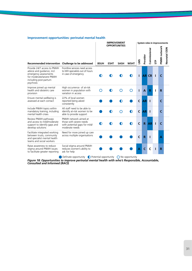|                                                                                                                                                      |                                                                                                     |             |             | <b>IMPROVEMENT</b><br><b>OPPORTUNITIES</b> |             |              | System roles in improvements |             |     |              |              |
|------------------------------------------------------------------------------------------------------------------------------------------------------|-----------------------------------------------------------------------------------------------------|-------------|-------------|--------------------------------------------|-------------|--------------|------------------------------|-------------|-----|--------------|--------------|
| Recommended intervention Challenge to be addressed                                                                                                   |                                                                                                     | <b>BSUH</b> | <b>ESHT</b> | <b>SASH</b>                                | <b>WSHT</b> | SIN          | Provider                     | Commissione | SТP | PNMH network | Neonatal ODN |
| Provide 24/7 access to PNMH<br>advice and guidance, incl.<br>emergency assessments<br>for moderate/severe PNMH<br>including post-partum<br>psychosis | Frontline services need access<br>to MH specialists out of hours<br>in case of emergency            |             |             |                                            |             |              | <b>ARI</b>                   | <b>CR</b>   |     | $\epsilon$   |              |
| Improve joined up mental<br>health and obstetric care<br>provision                                                                                   | High occurrence of at-risk<br>women in population with<br>variation in access                       | ( )         |             |                                            |             |              | A                            | R           |     | R            |              |
| Ensure mental wellbeing is<br>assessed at each contact                                                                                               | 22% of local women<br>reported being asked<br>consistently                                          |             |             |                                            |             | C            | <b>AR</b>                    |             |     | C            |              |
| Include PNMH topics within<br>mandatory training, including<br>mental health crises                                                                  | All staff need to be able to<br>identify at-risk women to be<br>able to provide support             |             |             |                                            |             | $\mathsf{C}$ | <b>AR</b>                    | ш           |     | C            |              |
| Review PNMH pathways<br>and access to mild/moderate<br>support to identify gaps and<br>develop solutions                                             | PNMH network aimed at<br>those with severe needs<br>with potential gaps for mild/<br>moderate needs |             |             |                                            |             | $\epsilon$   | $\mathbf{R}$                 | <b>AR</b>   |     | C            |              |
| Facilitate integrated working<br>between trusts, community<br>and specialist mental health<br>teams and social workers                               | Need for more joined up care<br>across multiple organisations                                       |             |             |                                            |             |              | R                            | ш           |     | Α            |              |
| Raise awareness to reduce<br>stigma around PNMH issues<br>to facilitate greater reporting                                                            | Social stigma around PNMH<br>reduces women's ability to<br>ask for help                             |             |             |                                            |             | А            | C                            | C           |     | R            |              |

# **Improvement opportunities: perinatal mental health**

Definate opportunity  $\bigcirc$  Potential opportunity  $\bigcirc$  No opportunity

*Figure 18: Opportunities to improve perinatal mental health with who's Responsible, Accountable, Consulted and Informed (RACI)*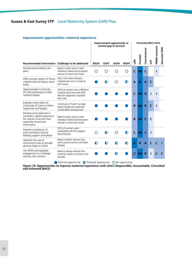|                                                                                                                               |                                                                                                          |             |             | Improvement opportunity or             |             |              | Ownership (RACI chart) |              |     |              |              |
|-------------------------------------------------------------------------------------------------------------------------------|----------------------------------------------------------------------------------------------------------|-------------|-------------|----------------------------------------|-------------|--------------|------------------------|--------------|-----|--------------|--------------|
| Recommended intervention Challenge to be addressed                                                                            |                                                                                                          | <b>BSUH</b> | <b>ESHT</b> | current gap in services<br><b>SASH</b> | <b>WSHT</b> | SINT         | Provider               | Commissioner | SТP | PNMH network | Neonatal ODN |
| Develop personalised care<br>plans                                                                                            | Need to tailor care to meet<br>individual needs and empower<br>women to have real choice                 |             |             |                                        |             | $\mathsf{C}$ | <b>AR</b>              | $\mathsf{C}$ |     |              |              |
| Offer women option of home,<br>midwife-led and labour ward<br>births                                                          | Only 15% were offered a<br>midwife-led unit in Sussex &<br>East Surrey                                   |             |             |                                        |             | R            | R                      | A            | C   |              |              |
| Operationalise Continuity<br>of Carer pathways to meet<br>national targets                                                    | 35% of women saw a different<br>midwife each time and 30%<br>felt this negatively impacted<br>their care |             |             |                                        |             | $\epsilon$   | AR                     | $\mathbf R$  |     |              |              |
| Evaluate initial rollout of<br>Continuity of Carer to inform<br>trajectories and targets                                      | Continuity of Carer is a large<br>scale change with potential<br>unintended consequences                 |             |             |                                        |             | R            | <b>AR</b>              | $\mathbf R$  | C   | п            |              |
| Develop and implement a<br>consistent, digital experience<br>for women to access their<br>maternity record and<br>information | Need to tailor care to meet<br>individual needs and empower<br>women to have real choice                 |             |             |                                        |             | R            | <b>AR</b>              | $\epsilon$   | C   |              |              |
| Improve consistency of<br>communication around<br>feeding support and advice                                                  | 33% of women were<br>unsatisfied with the support<br>they received                                       |             |             |                                        |             | $\mathsf{C}$ | <b>AR</b>              | $\epsilon$   |     |              |              |
| Optimise the use of<br>community hubs to provide<br>services closer to home                                                   | Need to deliver services that<br>work around women and their<br>families                                 | D           | Ð           |                                        |             | R            | R                      | $\mathbf{A}$ |     |              |              |
| Use MVPs and targeted<br>engagement to co-design<br>services with women                                                       | Need to design services that<br>meet the needs of women and<br>families                                  |             |             |                                        |             | C            | <b>AR</b>              | R            |     |              |              |

### **Improvement opportunities: maternal experience**

 $\bigcirc$  Definate opportunity  $\bigcirc$  Potential opportunity  $\bigcirc$  No opportunity

*Figure 19: Opportunities to improve maternal experience with who's Responsible, Accountable, Consulted and Informed (RACI)*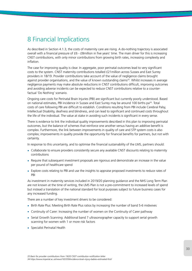# 8 Financial Implications

As described in Section 4.1.3, the costs of maternity care are rising. A do-nothing trajectory is associated overall with a financial pressure of £6 - £8million in five years' time. The main driver for this is increasing CNST contributions, with only minor contributions from growing birth rates, increasing complexity and inflation.

The case for improving quality is clear. In aggregate, poor perinatal outcomes lead to very significant costs to the system. CNST maternity contributions totalled £21million across Sussex and East Surrey providers in 18/19. Provider contributions take account of the value of negligence claims brought against provider organisations, and the value of known outstanding claims<sup>33</sup>. Whilst increases in average negligence payments may make absolute reductions in CNST contributions difficult, improving outcomes and avoiding adverse incidents can be expected to reduce CNST contributions relative to a counterfactual 'Do Nothing' scenario.

Ongoing care costs for Perinatal Brain Injuries (PBI) are significant but currently poorly understood. Based on national estimates, PBI incidence in Sussex and East Surrey may be around 100 births pa<sup>34</sup>. Total costs of care following PBI are difficult to establish. Conditions resulting from PBI include Cerebral Palsy, Intellectual Disability, deafness and blindness, and can lead to significant and continued costs throughout the life of the individual. The value at stake in avoiding such incidents is significant in every sense.

There is evidence to link the individual quality improvements described in this plan to improving perinatal outcomes, but the balance of schemes that reinforce one another versus having an additive benefit is complex. Furthermore, the link between improvements in quality of care and STP system costs is also complex; improvements in quality provide the opportunity for financial benefits for partners, but not with certainty.

In response to this uncertainty, and to optimise the financial sustainability of the LMS, partners should:

- **•** Collaborate to ensure providers consistently secure any available CNST discounts relating to maternity contributions
- **•** Require that subsequent investment proposals are rigorous and demonstrate an increase in the value per pound of healthcare spend
- **•** Explore costs relating to PBI and use the insights to appraise proposed investments to reduce rates of PBI

As investment in maternity services included in 2019/20 planning guidance and the NHS Long Term Plan are not known at the time of writing, the LMS Plan is not a pre-commitment to increased levels of spend but instead a translation of the national standard for local purposes subject to future business cases for any increased funding.

There are a number of key investment drivers to be considered:

- **•** Birth Rate Plus: Meeting Birth Rate Plus ratios by increasing the number of band 5-6 midwives
- **•** Continuity of Carer: Increasing the number of women on the Continuity of Carer pathway
- **•** Serial Growth Scanning: Additional band 7 ultrasonographer capacity to support serial growth scanning for women with 1 or more risk factors
- **•** Specialist Perinatal Health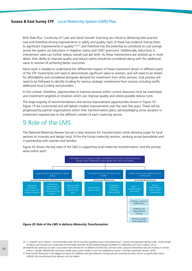Birth Rate Plus, Continuity of Carer and Serial Growth Scanning are critical to delivering best practice care and therefore driving improvements in safety and quality. Each of these has evidence linking them to significant improvements in quality<sup>35,36,37</sup> and therefore has the potential to contribute to cost savings across the system via reductions in litigation claims and CNST premiums. Additionally, reductions in intervention rates can further reduce overall cost per birth. As these interventions are worked up in more detail, their ability to improve quality and reduce claims should be considered along with the additional value to women of achieving better outcomes.

More work is needed to understand the differential impacts of these investment drivers in different parts of the STP. Investments will need to demonstrate significant value to women, and will need to be tested for affordability and considered alongside demand for investment from other services. Due process will need to be followed to identify funding for various strategic investments from sources including tariffs, additional local funding and providers.

In this context, therefore, opportunities to improve services within current resources must be maximised and investment targeted at initiatives which can improve quality and where possible reduce costs.

The large majority of recommendations and service improvement opportunities shown in Figure 16 - Figure 19 are incremental and will deliver modest improvements over the next five years. These will be progressed by partner organisations within their transformation plans, acknowledging some variation in investment required due to the different context of each maternity service.

# 9 Role of the LMS

The National Maternity Review has set a clear direction for transformation while allowing scope for local services to innovate and design local, fit-for-the-future maternity services, working across boundaries and in partnership with women and families.

Figure 20 shows the key roles of the LMS in supporting local maternity transformation, and the priority areas within each.



#### *Figure 20: Role of the LMS in delivery Maternity Transformation*

*<sup>35 1:1</sup> midwife care in labour is recommended under RCOG and NICE guidelines and is associated lower C-section and operative delivery rates, shorter length of labour and reduced risk of postnatal mental health disorders (RCM Evidenced Based Guidelines for Midwifery Led Care in Labour, 2012) 36 Midwife-led continuity of carer is associated with reduced risk of stillbirth and fetal loss, pre-term birth, reduced intervention rate and increase in normal* 

*births (J. Sandall, Midwife.led continuity models versus other models of care for childbearing women, Cochrane Systematic Review, 2016)*

*<sup>37</sup> Fetal Growth Restriction is the biggest risk factor for stillbirths and early detection through growth scanning has been shown to significantly reduce stillbirth risks by allowing timely delivery of at risk babies.*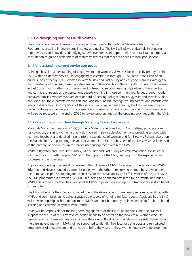# **9.1 Co-designing services with women**

The voice of women and families is a core principle running through the Maternity Transformation Programme, enabling improvements in safety and quality. The LMS will play a critical role in bringing together users and providers, identifying system level trends and opportunities and facilitating large-scale consultation to guide development of maternity services that meet the needs of local populations.

## **9.1.1 Understanding current service user needs**

Gaining a baseline understanding of engagement and women's views has been an early priority for the LMS, with an extensive service user engagement exercise run through 2018. Phase 1 consisted of an online survey of nearly 1,000 women in West Sussex and East Surrey and early focus groups with gypsy and traveller communities. Phase two, (November 2018 – March 2019) will roll this survey out to women in East Sussex, with further focus groups and outreach to seldom heard groups utilising the expertise and contacts of people and organisations already working in those communities. Target groups include bereaved families, women who are deaf or hard of hearing, refugee families, gypsies and travellers, Black and Minority Ethnic, parents whose first language isn't English, teenage/ young parents and parents with learning disabilities. On completion of this service user engagement exercise, the LMS will use insights gained to focus on the long-term involvement and co-design of services with women. The online survey will also be repeated at the end of 2020 to review progress and set the ongoing priorities within the LMS.

### **9.1.2 On-going co-production through Maternity Voices Partnerships**

Maternity Voices Partnerships (MVPs) (formerly Maternity Services Liaison Committees) provide a forum for co-design, ensuring women are actively involved in service development and providing services with real-time feedback and detailed insight into the experience of women and families. MVP chairs also sit on the Stakeholder Group to bring the voice of women into the core business of the LMS. MVPs will be used as the primary long-term forum for service user engagement within the LMS.

MVPs in Brighton and Hove, East Sussex, Mid Sussex and East Surrey are well established. West Sussex is in the process of setting-up an MVP with the support of the LMS, learning from the experience and successes of the other sites.

Appropriate funding is essential to delivering the full value of MVPs. However, of the established MVPs, Brighton and Hove is funded by commissioners, with the other three relying on members to volunteer their time and expertise. To mitigate this real risk to the sustainability and effectiveness of the local MVPs, the LMS programme is providing £20,000 in funding to be shared across the four currently unfunded MVPs This is to remunerate chairs and enable MVPs to proactively engage with traditionally seldom heard communities.

The LMS will ensure they play a continued role in the development of maternity services by working with MVPs and commissioners to agree a sustainable source of funding for future years. Additionally, the LMS will provide ongoing ad-hoc support to the MVPs and host bi-monthly chairs meetings to facilitate shared learning and collation of system-wide trends.

MVPs will be responsible for the long-term engagement of their local populations, and the LMS will support the set-up of this. Effective co-design needs to be based on the views of all women who use services, not just those who readily articulate their views. Building on the relationships established during the baseline engagement, MVPs will be supported to identify their local target groups and run tailored programmes of engagement and outreach to bring the views of these women into service development.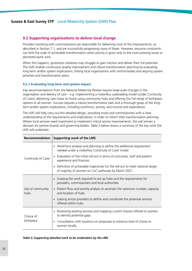# **9.2 Supporting organisations to deliver local change**

Providers (working with commissioners) are responsible for delivering most of the improvements, as described in Section 7.1, and are successfully progressing many of these. However, resource constraints can limit the scale of achievable transformation when priority is given only to the most pressing issues or perceived quick wins.

When this happens, grassroots initiatives may struggle to gain traction and deliver their full potential. The LMS enables continuous quality improvement and robust transformation planning by evaluating long-term and/or system implications, linking local organisations with central bodies and aligning system priorities and transformation plans.

# **9.2.1 Evaluating long-term and system impact**

Key recommendations from the National Maternity Review require large-scale changes in the organisation and delivery of care – e.g. implementing a midwifery caseloading model (under Continuity of Carer), delivering care closer to home using community hubs and offering the full range of birthplace options to all women. Success requires a robust transformation plan and a thorough grasp of the longterm and/or system implications, including workforce, activity, and income and expenditure.

The LMS will help carry out this detailed design, providing trusts and commissioners with a clear understanding of the requirements and implications, in order to inform their transformation planning. Where local services need investment to implement critical service improvements, this will remain a decision for partner boards and governing bodies. Table 5 below shows a summary of the key work the LMS will undertake.

| Recommendation           | <b>Supporting work of the LMS</b>                                                                                                      |
|--------------------------|----------------------------------------------------------------------------------------------------------------------------------------|
|                          | • Workforce analysis and planning to define the additional requirement<br>needed under a midwifery Continuity of Carer model           |
| Continuity of Carer      | • Evaluation of the initial roll-out in terms of outcomes, staff and patient<br>experience and finances                                |
|                          | • Definition of achievable trajectories for the roll-out to meet national target<br>of majority of women on CoC pathways by March 2021 |
|                          | • Scoping the work required to set up hubs and the requirements for<br>providers, commissioners and local authorities                  |
| Use of community<br>hubs | • Patient flow and activity analysis to ascertain the optimum number, capacity<br>and location of hubs                                 |
|                          | Liaising across providers to define and coordinate the potential services<br>offered within hubs                                       |
| Choice of                | Reviewing existing services and mapping current choices offered to women<br>to identify potential gaps                                 |
| birthplace               | Consultation with locations on proposals to enhance level of choice to<br>women locally                                                |

*Table 5: Supporting detailed work to be undertaken by the LMS*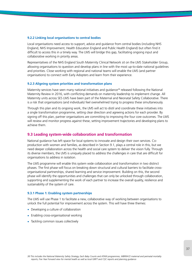### **9.2.2 Linking local organisations to central bodies**

Local organisations need access to support, advice and guidance from central bodies (including NHS England, NHS Improvement, Health Education England and Public Health England) but often find it difficult to access this in a timely way. The LMS will bridge this gap, facilitating ongoing input and collaborative working in priority areas.

Representatives of the NHS England South Maternity Clinical Network sit on the LMS Stakeholder Group, allowing organisations to question and develop plans in line with the most up-to-date national guidelines and priorities. Close working with regional and national teams will enable the LMS (and partner organisations) to connect with Early Adopters and learn from their experience.

### **9.2.3 Aligning system priorities and transformation plans**

Maternity services have seen many national initiatives and guidance<sup>38</sup> released following the National Maternity Review in 2016, with conflicting demands on maternity leadership to implement change. All Maternity units across SES LMS have been part of the Maternal and Neonatal Safety Collaborative. There is a risk that organisations (and individuals) feel overwhelmed trying to progress these simultaneously.

Through this plan and its ongoing work, the LMS will act to distil and coordinate these initiatives into a single transformation programme, setting clear direction and agreeing actions for each provider. By signing off this plan, partner organisations are committing to improving the four core outcomes. The LMS will review and monitor progress against these, setting improvement trajectories and developing plans to achieve them.

# **9.3 Leading system-wide collaboration and transformation**

National guidance has left space for local systems to innovate and design their own services. Coproduction with women and families, as described in Section 9.1, plays a central role in this, but we need deeper collaboration across the health and social care system to deliver the vision fully. Through its diverse members, the LMS is uniquely placed to address the challenges in care that are difficult for organisations to address in isolation.

The LMS programme will enable this system wide collaboration and transformation in two distinct phases. The first phase will focus on breaking down structural and cultural barriers to facilitate crossorganisational partnerships, shared learning and service improvement. Building on this, the second phase will identify the opportunities and challenges that can only be unlocked through collaboration, supporting and supplementing the work of each partner to increase the overall quality, resilience and sustainability of the system of care.

### **9.3.1 Phase 1: Enabling system partnerships**

The LMS will use Phase 1 to facilitate a new, collaborative way of working between organisations to unlock the full potential for improvement across the system. This will have three themes:

- **•** Developing a culture of collaboration
- **•** Enabling cross-organisational working
- **•** Tackling common issues collectively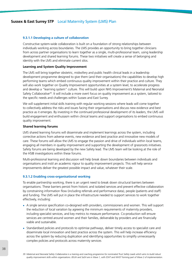### **9.3.1.1 Developing a culture of collaboration**

Constructive system-wide collaboration is built on a foundation of strong relationships between individuals working across boundaries. The LMS provides an opportunity to bring together clinicians from across partner organisations to learn together as a single, multi-professional team, using leadership development and shared learning forums. These two initiatives will create a sense of belonging and identity with the LMS and eliminate current silos.

### **Learning and System Quality Improvement**

The LMS will bring together obstetric, midwifery and public health clinical leads in a leadership development programme designed to give them (and their organisations) the capabilities to develop high performing teams which embed continuous quality improvement within their practice and culture. They will also work together on Quality Improvement opportunities at a system level, to accelerate progress and develop a "learning system" culture. This will build upon NHS Improvement's Maternal and Neonatal Safety Collaborative<sup>39</sup>. It will include a more overt focus on quality improvement as a system, tailored to the specific needs and challenges within Sussex and East Surrey.

We will supplement initial skills training with regular working sessions where leads will come together to collectively address the risks and issues facing their organisations and discuss new evidence and best practice as it emerges. By investing in the continued professional development of its leaders, the LMS will build engagement and enthusiasm within clinical teams and support organisations to embed continuous quality improvement.

### **Shared learning forums**

LMS shared learning forums will disseminate and implement learnings across the system, including corrective actions from adverse events, new evidence and best practice and innovative new models of care. These forums will allow the LMS to engage the passion and drive of individuals within local teams, engaging all members in quality improvement and supporting the development of grassroots initiatives. Safety forums are being developed by the new Safety lead. The LMS team will be looking at the role of the HSIB investigations within these forums.

Multi-professional learning and discussion will help break down boundaries between individuals and organisations and instil an academic rigour to quality improvement projects. This will help service improvements deliver the greatest possible impact and value, whatever their scale.

### **9.3.1.2 Enabling cross-organisational working**

To enable partnership working, there is an urgent need to break down structural barriers between organisations. These barriers persist from historic and isolated services and prevent effective collaboration by constraining information flow (including referrals and performance data), people (patients and staff) and funding. The LMS will put in place the infrastructure needed to support services to work together effectively, including:

- **•** A single service specification co-designed with providers, commissioners and women. This will support the reduction of local variation by agreeing the minimum requirements of maternity providers, including specialist services, and key metrics to measure performance. Co-production will ensure services are centred around women and their families, deliverable by providers and are financially viable and sustainable.
- **•** Standardised policies and protocols to optimise pathways, deliver timely access to specialist care and disseminate local innovation and best practice across the system. This will help increase efficiency across the system by reducing duplication and identifying opportunities to simplify unnecessarily complex policies and protocols across maternity services

*<sup>39</sup> Maternal and Neonatal Safety Collaborative is a training and coaching programme for nominated Trust Safety Leads which aims to build robust quality improvement skills within organisations. BSUH and SaSH are in Wave 1, with ESHT and WHST forming part of Wave 2 of implementation.*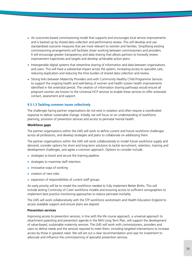- **•** An outcomes-based commissioning model that supports and encourages local service improvements and is backed up by shared data collection and performance review. This will develop and use standardised outcome measures that are more relevant to women and families. Simplifying existing commissioning arrangements will facilitate closer working between commissioners and providers. It will encourage greater transparency and data sharing that allows partners to honestly review improvement trajectories and targets and develop achievable action plans.
- **•** Interoperable digital systems that streamline sharing of information and data between organisations and users. This will have a substantial impact across the system, increasing access to specialist care, reducing duplication and reducing the time burden of shared data collection and review.
- **•** Strong links between Maternity Providers and with Community Healthy Child Programme Services to support the ongoing health and well-being of women and health sustain health improvements identified in the antenatal period. The creation of information sharing pathways would ensure all pregnant women are known to the Universal HCP services to enable these services to offer antenatal contact, assessment and support.

# **9.3.1.3 Tackling common issues collectively**

The challenges facing partner organisations do not exist in isolation and often require a coordinated response to deliver sustainable change. Initially, we will focus on an understanding of workforce planning, provision of prevention services and access to perinatal mental health.

### **Workforce gaps**

The partner organisations within the LMS will work to define current and future workforce challenges across all professions, and develop strategies and plans to collaborate on addressing them.

The partner organisations within the LMS will work collaboratively to model future workforce supply and demand, consider options for short and long-term solutions to tackle recruitment, retention, training and development challenges, and agree a common approach. Options to consider include:

- **•** strategies to boost and secure the training pipeline
- **•** strategies to maximise staff retention
- **•** innovative ways of working
- **•** creation of new roles
- **•** expansion of responsibilities of current staff groups

An early priority will be to model the workforce needed to fully implement Better Births. This will include testing Continuity of Carer workforce models and ensuring access to sufficient sonographers to implement best practice monitoring approaches to reduce perinatal mortality.

The LMS will work collaboratively with the STP workforce workstream and Health Education England to access available support and ensure plans are aligned.

### **Prevention services**

Improving access to prevention services, in line with the life course approach, a universal approach to attachment parenting and prevention agenda in the NHS Long Term Plan, will support the development of value-based, sustainable maternity services. The LMS will work with commissioners, providers and users to define needs and the services required to meet them, including targeted interventions to increase access by those in greatest need. We will set out a clear recommendation and case for investment to advocate and influence the commissioning of specialist prevention services.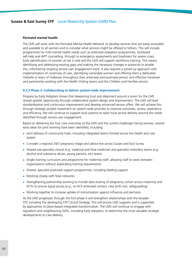### **Perinatal mental health**

The LMS will work with the Perinatal Mental Health Network to develop services that are easily accessible and available to all women and to consider what services might be offered to fathers. This will include programmes for mild mental health needs such as antenatal relaxation programmes, facilitated self-help and IAPT counselling, through to emergency assessments and treatment for severe crises. Early identification of women at risk is vital and the LMS will support workforce training. This means identifying and addressing existing gaps and making the necessary changes in protocols to enable this, informed by ongoing service user engagement work. It also requires a joined up approach with implementation of continuity of care, identifying vulnerable women and offering them a dedicated midwife or team of midwives throughout their antenatal and postnatal period, and effective handover and partnership working with the Health Visiting teams and the Children and Families service.

### **9.3.2 Phase 2: Collaborating to deliver system-wide improvement**

Progress by Early Adopters shows that deepening trust and alignment around a vision for the LMS reveals greater opportunity through collaborative system design and improvement. The LMS will lead standardisation and continuous improvement and develop enhanced service offers. We will achieve this through strategic pooled investment on system-wide priorities to improve outcomes, access, experience and efficiency. We will continue to support local systems to tailor local service delivery around the needs identified through service user engagement.

Based on delivering the four core outcomes of the LMS and the current challenges facing services, several early ideas for joint working have been identified, including:

- **•** Joint delivery of community hubs, including integrated teams formed across the health and care system
- **•** Consider a regional 24/7 pregnancy triage and advice line across Sussex and East Surrey
- **•** Shared sub-specialist clinical (e.g. maternal and fetal medicine) and specialist midwifery teams (e.g. alcohol and substance abuse, young persons, etc) teams
- **•** Single training curriculum and programme for maternity staff, allowing staff to work between organisations without duplicating training requirements
- **•** Shared, specialist postnatal support programmes, including feeding support
- **•** Working closely with fetal networks
- **•** Strengthening partnership working to include data sharing of pregnancy cohort across maternity and HCPs to ensure equal access (e.g., to HCP antenatal contact, new birth visit, safeguarding)
- Working together to increase uptake of immunisation against influenza and pertussis

As the LMS progresses through the first phase it will strengthen relationships with the broader STP, including the developing STP Clinical Strategy. This will ensure LMS supports and is supported by approaches to place-based integrated transformation. The LMS will continue to engage with regulators and neighbouring LMSs, including Early Adopters, to determine the most valuable strategic developments to care delivery.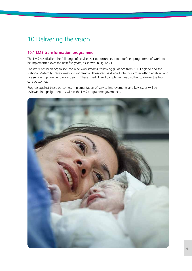# 10 Delivering the vision

# **10.1 LMS transformation programme**

The LMS has distilled the full range of service user opportunities into a defined programme of work, to be implemented over the next five years, as shown in Figure 21.

The work has been organised into nine workstreams, following guidance from NHS England and the National Maternity Transformation Programme. These can be divided into four cross-cutting enablers and five service improvement workstreams. These interlink and complement each other to deliver the four core outcomes.

Progress against these outcomes, implementation of service improvements and key issues will be reviewed in highlight reports within the LMS programme governance.

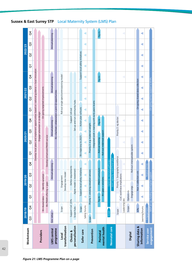| Workstream                  | 2018/19         |                               |                          |                                         | 2019/20                                          |                |                               | 2020/21                                                                                       |                       |                                                        |                                | 2021/22 |                                          |         |                                  | 2022/23 |                 |         |
|-----------------------------|-----------------|-------------------------------|--------------------------|-----------------------------------------|--------------------------------------------------|----------------|-------------------------------|-----------------------------------------------------------------------------------------------|-----------------------|--------------------------------------------------------|--------------------------------|---------|------------------------------------------|---------|----------------------------------|---------|-----------------|---------|
|                             | ĉ               | $\overline{c}$                | $\overline{\circ}$       | S                                       | 3                                                | $\overline{c}$ | $\overline{O}$                | S                                                                                             | C <sub>3</sub>        | $\overline{5}$                                         | $\overline{O}$                 | S       | C <sub>3</sub>                           | ğ       | $\overline{O}$                   | S       | 3               | ğ       |
|                             |                 |                               |                          |                                         |                                                  |                |                               | Develop local plans and implement opportunities based on national guidance + local innovation |                       |                                                        |                                |         |                                          |         |                                  |         |                 |         |
| Providers                   |                 | R/v shared data               |                          | Identify variation                      |                                                  |                |                               |                                                                                               |                       | Engage w/women in co-design                            | On-going targeted improvements |         |                                          |         |                                  |         |                 |         |
|                             |                 |                               | R/v PNMH offering + gaps |                                         |                                                  |                |                               | Develop enhamced PNMH service                                                                 |                       |                                                        |                                |         |                                          |         |                                  |         |                 |         |
| LMS central                 | Gov. setup      |                               |                          |                                         | Annual                                           | planning       |                               |                                                                                               | Annual planning       |                                                        |                                |         | Annual planning                          |         |                                  |         | Annual planning |         |
| programme                   |                 |                               |                          |                                         |                                                  |                |                               |                                                                                               |                       | R/v +facilitate collaboration + joint QI opportunities |                                |         |                                          |         |                                  |         |                 |         |
| transformation<br>Local     |                 | Scope                         |                          | Develop new model<br>Engagement         |                                                  |                |                               |                                                                                               |                       |                                                        |                                |         | Roll-out single spec/commissioning model |         |                                  |         |                 |         |
| personalisation<br>Choice & |                 | Support CoC 20%<br>Scope hubs |                          | Agree model + investment                | Define requirements                              |                |                               |                                                                                               |                       | Set-up and run community hubs<br>Support roll-out      |                                |         |                                          |         |                                  |         |                 |         |
| Safer care                  |                 | Scope                         |                          | Support local safety initiatives        |                                                  |                |                               | R/v trajectory to 2025                                                                        |                       | Action plan w/trusts                                   |                                |         |                                          |         | Support local safety initiatives |         |                 |         |
| Prevention                  | Scope           | Safety forums                 |                          | Priority 1: smoking cessation servic    | 3e                                               |                |                               | Priority 2: e.g. maternal weight                                                              |                       |                                                        |                                | c       |                                          |         |                                  |         | d               | ◀       |
|                             |                 |                               |                          |                                         |                                                  |                |                               | Integrated work + training with early years teams                                             |                       |                                                        |                                |         |                                          |         |                                  |         |                 |         |
| mental health<br>Perinatal  |                 |                               | Trg r/v                  | R/v gaps + solutions                    | PNMH curriculum                                  |                |                               | Roll-out mild/mod support<br>Roll-out training                                                |                       | Trg r/v                                                |                                |         |                                          | Trg r/v |                                  |         |                 | Trg r/v |
| Neonatal care               | Scope           |                               |                          |                                         | Joint capacity +workforce plan<br>Optimise neona | atal pathways  |                               |                                                                                               |                       |                                                        |                                |         |                                          |         |                                  |         |                 |         |
|                             |                 | Leadership dev<br>Scope       |                          | CoC workforce implications              | Priority 1: Sonography workforce                 |                |                               |                                                                                               | Priority 2: eg doctor |                                                        |                                |         |                                          |         |                                  |         |                 |         |
| <b>Digital</b>              |                 | Scope                         | Options r/v              | Engage orgs                             |                                                  |                | Roll-out interoperable system |                                                                                               |                       |                                                        |                                |         |                                          |         |                                  |         |                 |         |
| Sharing data &              |                 | KPIS                          |                          | Year 1 collection +t/                   |                                                  |                |                               |                                                                                               |                       |                                                        |                                |         | On-going shared data collection          |         |                                  |         |                 |         |
| information                 | Learning forums |                               |                          |                                         |                                                  |                | a                             |                                                                                               | a                     | a                                                      |                                |         |                                          | ◀       | ◀                                |         | ◀               | ◀       |
| Service user                | Engagement      |                               |                          |                                         | Repeat survey                                    |                |                               |                                                                                               |                       |                                                        |                                |         |                                          |         |                                  |         |                 |         |
| engagement                  |                 |                               |                          | MVP set-up, funding and regular support |                                                  |                |                               |                                                                                               |                       |                                                        |                                |         | On-going ad-hoc support to MVPs          |         |                                  |         |                 |         |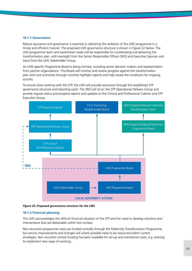### **10.1.1 Governance**

Robust assurance and governance is essential to delivering the ambition of the LMS programme in a timely and efficient manner. The proposed LMS governance structure is shown in Figure 22 below. The LMS programme team and workstream leads will be responsible for coordinating and delivering the transformation plan, with oversight from the Senior Responsible Officer (SRO) and Executive Sponsor and input from the LMS Stakeholder Group.

An LMS-specific Programme Board is being formed, including senior decision makers and representation from partner organisations. This Board will monitor and review progress against the transformation plan and core outcomes through monthly highlight reports and help create the conditions for ongoing success.

To ensure close working with the STP, the LMS will provide assurance through the established STP governance structure and reporting cycle. The SRO will sit on the STP Operational Delivery Group and provide regular status and progress reports and updates to the Clinical and Professional Cabinet and STP Executive Group.



*Figure 22: Proposed governance structure for the LMS*

# **10.1.2 Financial planning**

The LMS acknowledges the difficult financial situation of the STP and the need to develop solutions and interventions that are deliverable within this context.

Non-recurrent programme costs are funded centrally through the Maternity Transformation Programme, but service improvements and changes will where possible need to be resourced within current envelopes. Non recurrent central funding has been available for set-up and transitional costs, e.g. training to implement new ways of working.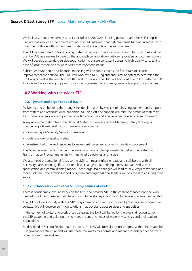Whilst investment in maternity services included in 2019/20 planning guidance and the NHS Long Term Plan are not known at the time of writing, the LMS assumes that flat, real-terms funding increases with investments above inflation will need to demonstrate significant value to women.

The LMS is committed to transitioning maternity services towards commissioning for outcomes and will use the LMS as a means to develop the approach collaboratively between providers and commissioners. We will develop a standard service specification to ensure consistent access to high quality care, taking note of local context to ensure services meet women's needs.

Subsequent workforce and financial modelling will be conducted as the full details of service improvements are defined. The LMS will work with NHS England and Early Adopters to determine the right way to realise the ambitions of Better Births locally. The LMS will also continue to link with the STP finance and workforce groups as this work is progressed, to ensure system-wide support for changes.

# **10.2 Working with the wider STP**

# **10.2.1 System and organisational buy-in**

Delivering and embedding the changes needed in maternity services requires engagement and support from system and organisational leadership. STP sign-off and support will raise the profile of maternity transformation, encouraging partner boards to prioritise and enable large-scale service improvements.

A key recommendation from the National Maternity Review and the Maternity Safety Strategy is maintaining a board level focus on maternity services by

- **•** nominating a Maternity Services champion
- **•** routine review of quality metrics
- **•** investment of time and resources to implement necessary actions for quality improvement

This buy-in is essential to maintain the ambitious pace of change needed to deliver the Maternity Transformation Programme in line with national trajectories and targets.

We also need organisational focus so the LMS can meaningfully engage and collaborate with all necessary partners on significant system level changes: e.g. defining a new standardised service specification and commissioning model. These large-scale changes will lead to new ways of working and models of care - the explicit support of system and organisational leaders will be critical to ensuring their success.

### **10.2.2 Collaboration with other STP programmes of work**

There is considerable overlap between the LMS and broader STP in the challenges faced and the work needed to address these: e.g. digital and workforce strategies and work to reduce unwarranted variation.

The LMS will work closely with the STP programme to ensure it is informed by the broader programme context. We will develop common solutions that dovetail across services and specialties.

In the context of digital and workforce strategies, the LMS will be led by the overall direction set by the STP, adapting and tailoring this to meet the specific needs of maternity services and their patient populations.

As described in Section Section 10.1.1 above, the LMS will formally report progress within the established STP governance structure and will use these forums to collaborate and manage interdependencies with other programmes and leads.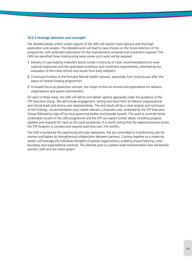### **10.2.3 Strategic direction and oversight**

The detailed design within certain aspects of the LMS will require more rigorous and thorough exploration and analysis. This detailed work will lead to clear choices on the future direction of the programme, with potential implications for the improvements achieved and investment required. The LMS has identified three initial priority areas where such work will be required:

- **1**. Delivery of case-loading midwifery teams (under Continuity of Carer recommendations) to meet national trajectories and the associated workforce and investment requirements, informed by the evaluation of the initial roll-out and results from Early Adopters.
- **2**. Continued funding of the Perinatal Mental Health network, potentially from local sources after the expiry of central funding programmes
- **3**. Increased focus on prevention services, the impact of this on income and expenditure for relevant organisations and system level benefits.

For each of these areas, the LMS will define and deliver options appraisals under the guidance of the STP Executive Group. We will include engagement, testing and input from all relevant organisational and clinical leads and service user representatives. The end result will be a clear analysis and conclusion of the findings,, recommendation and, where relevant, a business case, endorsed by the STP Executive Group followed by sign-off by local governing bodies and provider boards. This work is currently being undertaken as part of the LMS programme and the STP can expect further detail, including progress updates and requests for input as this work progresses. It is worth noting that the approval process across the STP footprint is complex and requires lead time over 3-6 months.

The LMS is excited by the opportunity this plan represents. We are committed to transforming care for women and babies by strengthening collaboration between partners. Coming together as a maternity system will leverage the individual strengths of partner organisations, enabling shared learning, crossboundary and organisational working. The ultimate goal is a system-wide transformation that will benefit women, staff and the entire system.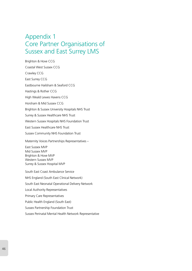# Appendix 1 Core Partner Organisations of Sussex and East Surrey LMS

Brighton & Hove CCG Coastal West Sussex CCG Crawley CCG East Surrey CCG Eastbourne Hailsham & Seaford CCG Hastings & Rother CCG High Weald Lewes Havens CCG Horsham & Mid Sussex CCG Brighton & Sussex University Hospitals NHS Trust Surrey & Sussex Healthcare NHS Trust Western Sussex Hospitals NHS Foundation Trust East Sussex Healthcare NHS Trust Sussex Community NHS Foundation Trust Maternity Voices Partnerships Representatives – East Sussex MVP Mid Sussex MVP Brighton & Hove MVP Western Sussex MVP Surrey & Sussex Hospital MVP South East Coast Ambulance Service NHS England (South East Clinical Network) South East Neonatal Operational Delivery Network Local Authority Representatives Primary Care Representatives Public Health England (South East)

Sussex Partnership Foundation Trust

Sussex Perinatal Mental Health Network Representative